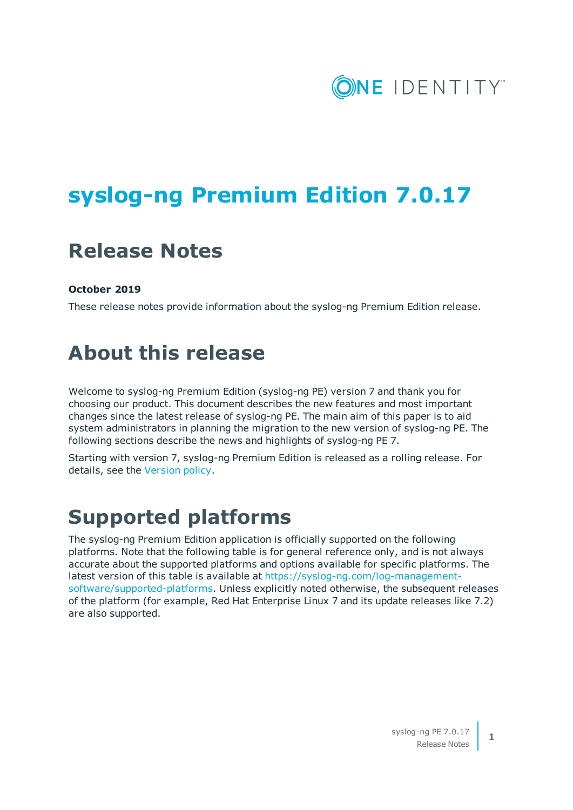

# **syslog-ng Premium Edition 7.0.17**

# **Release Notes**

#### **October 2019**

These release notes provide information about the syslog-ng Premium Edition release.

# **About this release**

Welcome to syslog-ng Premium Edition (syslog-ng PE) version 7 and thank you for choosing our product. This document describes the new features and most important changes since the latest release of syslog-ng PE. The main aim of this paper is to aid system administrators in planning the migration to the new version of syslog-ng PE. The following sections describe the news and highlights of syslog-ng PE 7.

Starting with version 7, syslog-ng Premium Edition is released as a rolling release. For details, see the [Version](https://support.oneidentity.com/essentials/support-guide) policy.

# **Supported platforms**

The syslog-ng Premium Edition application is officially supported on the following platforms. Note that the following table is for general reference only, and is not always accurate about the supported platforms and options available for specific platforms. The latest version of this table is available at [https://syslog-ng.com/log-management](https://syslog-ng.com/log-management-software/supported-platforms)[software/supported-platforms](https://syslog-ng.com/log-management-software/supported-platforms). Unless explicitly noted otherwise, the subsequent releases of the platform (for example, Red Hat Enterprise Linux 7 and its update releases like 7.2) are also supported.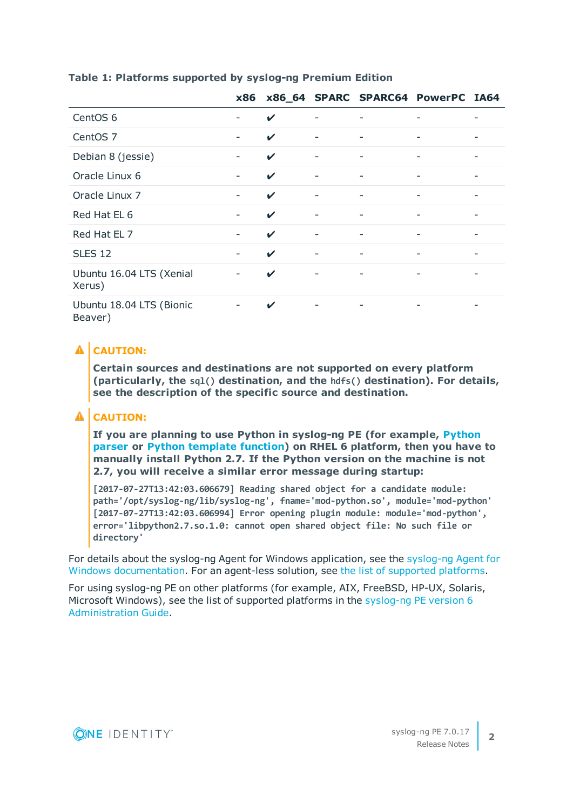|                                    | <b>x86</b>               |                            |                          | x86_64 SPARC SPARC64 PowerPC IA64 |  |
|------------------------------------|--------------------------|----------------------------|--------------------------|-----------------------------------|--|
| CentOS <sub>6</sub>                |                          | $\boldsymbol{\mathcal{U}}$ |                          |                                   |  |
| CentOS <sub>7</sub>                | $\overline{\phantom{a}}$ | $\checkmark$               | ۰                        | $\overline{\phantom{0}}$          |  |
| Debian 8 (jessie)                  | -                        | $\boldsymbol{\mathcal{U}}$ | $\overline{\phantom{a}}$ | $\overline{\phantom{0}}$          |  |
| Oracle Linux 6                     | $\overline{\phantom{0}}$ | $\checkmark$               | -                        | $\overline{\phantom{0}}$          |  |
| Oracle Linux 7                     | $\overline{\phantom{a}}$ | $\checkmark$               | $\overline{\phantom{a}}$ | $\overline{\phantom{0}}$          |  |
| Red Hat EL 6                       | -                        | $\boldsymbol{\mathcal{U}}$ | -                        |                                   |  |
| Red Hat EL 7                       | $\overline{\phantom{0}}$ | $\mathbf{v}$               | -                        | $\overline{\phantom{0}}$          |  |
| <b>SLES 12</b>                     | $\overline{\phantom{a}}$ | $\checkmark$               | $\overline{\phantom{a}}$ | $\overline{\phantom{m}}$          |  |
| Ubuntu 16.04 LTS (Xenial<br>Xerus) | $\overline{\phantom{a}}$ | $\checkmark$               | -                        | -                                 |  |
| Ubuntu 18.04 LTS (Bionic           | ۰                        | ✓                          |                          |                                   |  |

#### **Table 1: Platforms supported by syslog-ng Premium Edition**

Beaver)

### **A** CAUTION:

**Certain sources and destinations are not supported on every platform (particularly, the sql() destination, and the hdfs() destination). For details, see the description of the specific source and destination.**

### **A** CAUTION:

**If you are planning to use Python in syslog-ng PE (for example, Python parser or Python template function) on RHEL 6 platform, then you have to manually install Python 2.7. If the Python version on the machine is not 2.7, you will receive a similar error message during startup:**

**[2017-07-27T13:42:03.606679] Reading shared object for a candidate module: path='/opt/syslog-ng/lib/syslog-ng', fname='mod-python.so', module='mod-python' [2017-07-27T13:42:03.606994] Error opening plugin module: module='mod-python', error='libpython2.7.so.1.0: cannot open shared object file: No such file or directory'**

For details about the syslog-ng Agent for Windows application, see the [syslog-ng](https://syslog-ng.com/documents/html/syslog-ng-pe-6.0-guides/en/syslog-ng-windows-agent-guide-admin/html/index.html) Agent for Windows [documentation](https://syslog-ng.com/documents/html/syslog-ng-pe-6.0-guides/en/syslog-ng-windows-agent-guide-admin/html/index.html). For an agent-less solution, see the list of [supported](https://syslog-ng.com/documents/html/syslog-ng-pe-latest-guides/en/syslog-ng-pe-guide-admin/html/supported-platforms.html) platforms.

For using syslog-ng PE on other platforms (for example, AIX, FreeBSD, HP-UX, Solaris, Microsoft Windows), see the list of supported platforms in the [syslog-ng](https://support.oneidentity.com/syslog-ng-premium-edition/6.0.17/technical-documents) PE version 6 [Administration](https://support.oneidentity.com/syslog-ng-premium-edition/6.0.17/technical-documents) Guide.

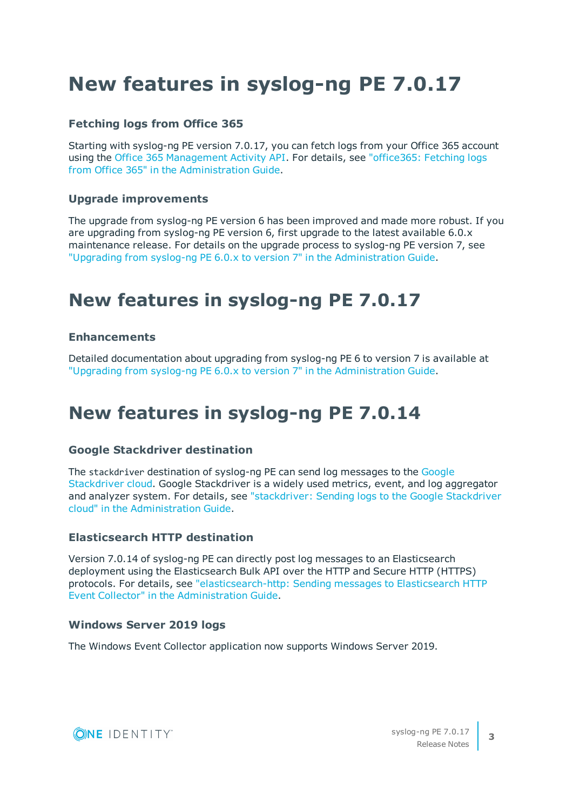# **New features in syslog-ng PE 7.0.17**

### **Fetching logs from Office 365**

Starting with syslog-ng PE version 7.0.17, you can fetch logs from your Office 365 account using the Office 365 [Management](https://docs.microsoft.com/en-us/office/office-365-management-api/office-365-management-activity-api-reference) Activity API. For details, see ["office365:](https://support.oneidentity.com/technical-documents/syslog-ng-premium-edition/7.0.17/administration-guide/collecting-log-messages-�-sources-and-source-drivers/office365-fetching-logs-from-office-365/) Fetching logs from Office 365" in the [Administration](https://support.oneidentity.com/technical-documents/syslog-ng-premium-edition/7.0.17/administration-guide/collecting-log-messages-�-sources-and-source-drivers/office365-fetching-logs-from-office-365/) Guide.

#### **Upgrade improvements**

The upgrade from syslog-ng PE version 6 has been improved and made more robust. If you are upgrading from syslog-ng PE version 6, first upgrade to the latest available 6.0.x maintenance release. For details on the upgrade process to syslog-ng PE version 7, see "Upgrading from syslog-ng PE 6.0.x to version 7" in the [Administration](https://support.oneidentity.com/technical-documents/syslog-ng-premium-edition/7.0.17/administration-guide/installing-syslog-ng/upgrading-syslog-ng-pe/upgrading-from-syslog-ng-pe-6.0.x-to-version-7/) Guide.

## **New features in syslog-ng PE 7.0.17**

#### **Enhancements**

Detailed documentation about upgrading from syslog-ng PE 6 to version 7 is available at "Upgrading from syslog-ng PE 6.0.x to version 7" in the [Administration](https://support.oneidentity.com/technical-documents/syslog-ng-premium-edition/7.0.17/administration-guide/installing-syslog-ng/upgrading-syslog-ng-pe/upgrading-from-syslog-ng-pe-6.0.x-to-version-7/) Guide.

### **New features in syslog-ng PE 7.0.14**

#### **Google Stackdriver destination**

The stackdriver destination of syslog-ng PE can send log messages to the [Google](https://cloud.google.com/stackdriver/) [Stackdriver](https://cloud.google.com/stackdriver/) cloud. Google Stackdriver is a widely used metrics, event, and log aggregator and analyzer system. For details, see ["stackdriver:](https://support.oneidentity.com/technical-documents/syslog-ng-premium-edition/7.0.17/administration-guide/sending-and-storing-log-messages-�-destinations-and-destination-drivers/stackdriver-sending-logs-to-the-google-stackdriver-cloud/) Sending logs to the Google Stackdriver cloud" in the [Administration](https://support.oneidentity.com/technical-documents/syslog-ng-premium-edition/7.0.17/administration-guide/sending-and-storing-log-messages-�-destinations-and-destination-drivers/stackdriver-sending-logs-to-the-google-stackdriver-cloud/) Guide.

#### **Elasticsearch HTTP destination**

Version 7.0.14 of syslog-ng PE can directly post log messages to an Elasticsearch deployment using the Elasticsearch Bulk API over the HTTP and Secure HTTP (HTTPS) protocols. For details, see ["elasticsearch-http:](https://support.oneidentity.com/technical-documents/syslog-ng-premium-edition/7.0.17/administration-guide/sending-and-storing-log-messages-�-destinations-and-destination-drivers/elasticsearch-http-sending-messages-to-elasticsearch-http-event-collector/) Sending messages to Elasticsearch HTTP Event Collector" in the [Administration](https://support.oneidentity.com/technical-documents/syslog-ng-premium-edition/7.0.17/administration-guide/sending-and-storing-log-messages-�-destinations-and-destination-drivers/elasticsearch-http-sending-messages-to-elasticsearch-http-event-collector/) Guide.

#### **Windows Server 2019 logs**

The Windows Event Collector application now supports Windows Server 2019.

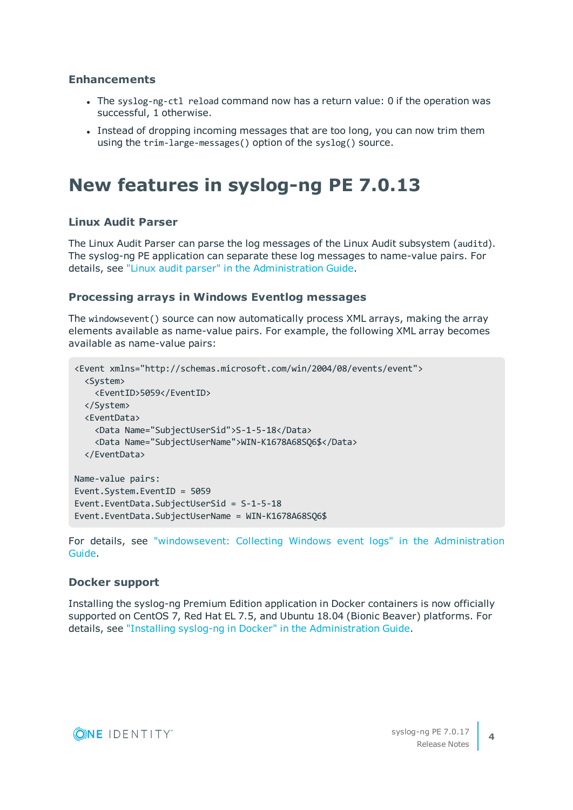#### **Enhancements**

- The syslog-ng-ctl reload command now has a return value: 0 if the operation was successful, 1 otherwise.
- Instead of dropping incoming messages that are too long, you can now trim them using the trim-large-messages() option of the syslog() source.

## **New features in syslog-ng PE 7.0.13**

#### **Linux Audit Parser**

The Linux Audit Parser can parse the log messages of the Linux Audit subsystem (auditd). The syslog-ng PE application can separate these log messages to name-value pairs. For details, see "Linux audit parser" in the [Administration](https://support.oneidentity.com/technical-documents/syslog-ng-premium-edition/7.0.17/administration-guide/parser-parse-and-segment-structured-messages/linux-audit-parser/) Guide.

#### **Processing arrays in Windows Eventlog messages**

The windowsevent() source can now automatically process XML arrays, making the array elements available as name-value pairs. For example, the following XML array becomes available as name-value pairs:

```
<Event xmlns="http://schemas.microsoft.com/win/2004/08/events/event">
  <System>
   <EventID>5059</EventID>
  </System>
  <EventData>
    <Data Name="SubjectUserSid">S-1-5-18</Data>
    <Data Name="SubjectUserName">WIN-K1678A68SQ6$</Data>
  </EventData>
Name-value pairs:
Event.System.EventID = 5059
Event.EventData.SubjectUserSid = S-1-5-18
Event.EventData.SubjectUserName = WIN-K1678A68SQ6$
```
For details, see ["windowsevent:](https://support.oneidentity.com/technical-documents/syslog-ng-premium-edition/7.0.17/administration-guide/collecting-log-messages-�-sources-and-source-drivers/windowsevent-collecting-windows-event-logs/) Collecting Windows event logs" in the Administration [Guide.](https://support.oneidentity.com/technical-documents/syslog-ng-premium-edition/7.0.17/administration-guide/collecting-log-messages-�-sources-and-source-drivers/windowsevent-collecting-windows-event-logs/)

#### **Docker support**

Installing the syslog-ng Premium Edition application in Docker containers is now officially supported on CentOS 7, Red Hat EL 7.5, and Ubuntu 18.04 (Bionic Beaver) platforms. For details, see "Installing syslog-ng in Docker" in the [Administration](https://support.oneidentity.com/technical-documents/syslog-ng-premium-edition/7.0.17/administration-guide/installing-syslog-ng/installing-syslog-ng-in-docker/) Guide.



**4**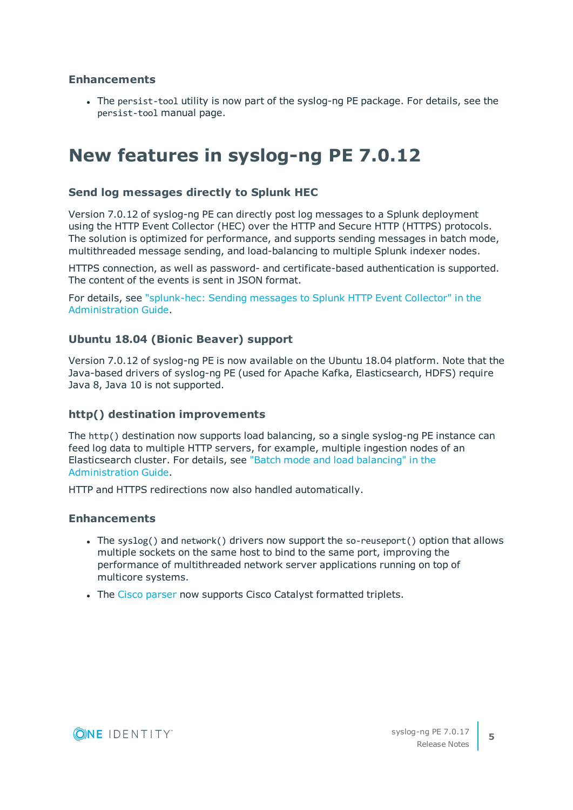#### **Enhancements**

• The persist-tool utility is now part of the syslog-ng PE package. For details, see the persist-tool manual page.

## **New features in syslog-ng PE 7.0.12**

#### **Send log messages directly to Splunk HEC**

Version 7.0.12 of syslog-ng PE can directly post log messages to a Splunk deployment using the HTTP Event Collector (HEC) over the HTTP and Secure HTTP (HTTPS) protocols. The solution is optimized for performance, and supports sending messages in batch mode, multithreaded message sending, and load-balancing to multiple Splunk indexer nodes.

HTTPS connection, as well as password- and certificate-based authentication is supported. The content of the events is sent in JSON format.

For details, see ["splunk-hec:](https://support.oneidentity.com/technical-documents/syslog-ng-premium-edition/7.0.17/administration-guide/sending-and-storing-log-messages-�-destinations-and-destination-drivers/splunk-hec-sending-messages-to-splunk-http-event-collector/) Sending messages to Splunk HTTP Event Collector" in the [Administration](https://support.oneidentity.com/technical-documents/syslog-ng-premium-edition/7.0.17/administration-guide/sending-and-storing-log-messages-�-destinations-and-destination-drivers/splunk-hec-sending-messages-to-splunk-http-event-collector/) Guide.

#### **Ubuntu 18.04 (Bionic Beaver) support**

Version 7.0.12 of syslog-ng PE is now available on the Ubuntu 18.04 platform. Note that the Java-based drivers of syslog-ng PE (used for Apache Kafka, Elasticsearch, HDFS) require Java 8, Java 10 is not supported.

### **http() destination improvements**

The http() destination now supports load balancing, so a single syslog-ng PE instance can feed log data to multiple HTTP servers, for example, multiple ingestion nodes of an Elasticsearch cluster. For details, see "Batch mode and load [balancing"](https://support.oneidentity.com/technical-documents/syslog-ng-premium-edition/7.0.17/administration-guide/sending-and-storing-log-messages-�-destinations-and-destination-drivers/http-posting-messages-over-http-without-java/batch-mode-and-load-balancing/) in the [Administration](https://support.oneidentity.com/technical-documents/syslog-ng-premium-edition/7.0.17/administration-guide/sending-and-storing-log-messages-�-destinations-and-destination-drivers/http-posting-messages-over-http-without-java/batch-mode-and-load-balancing/) Guide.

HTTP and HTTPS redirections now also handled automatically.

#### **Enhancements**

- The syslog() and network() drivers now support the so-reuseport() option that allows multiple sockets on the same host to bind to the same port, improving the performance of multithreaded network server applications running on top of multicore systems.
- The Cisco [parser](https://support.oneidentity.com/technical-documents/syslog-ng-premium-edition/7.0.17/administration-guide/parser-parse-and-segment-structured-messages/cisco-parser/) now supports Cisco Catalyst formatted triplets.

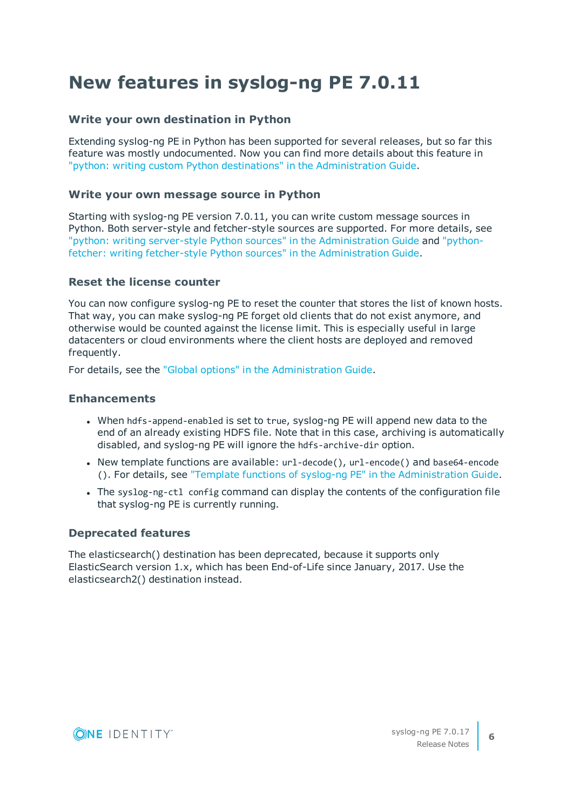# **New features in syslog-ng PE 7.0.11**

#### **Write your own destination in Python**

Extending syslog-ng PE in Python has been supported for several releases, but so far this feature was mostly undocumented. Now you can find more details about this feature in "python: writing custom Python destinations" in the [Administration](https://support.oneidentity.com/technical-documents/syslog-ng-premium-edition/7.0.17/administration-guide/sending-and-storing-log-messages-�-destinations-and-destination-drivers/python-writing-custom-python-destinations/) Guide.

#### **Write your own message source in Python**

Starting with syslog-ng PE version 7.0.11, you can write custom message sources in Python. Both server-style and fetcher-style sources are supported. For more details, see "python: writing server-style Python sources" in the [Administration](https://support.oneidentity.com/technical-documents/syslog-ng-premium-edition/7.0.17/administration-guide/collecting-log-messages-�-sources-and-source-drivers/python-writing-server-style-python-sources/) Guide and ["python](https://support.oneidentity.com/technical-documents/syslog-ng-premium-edition/7.0.17/administration-guide/collecting-log-messages-�-sources-and-source-drivers/python-fetcher-writing-fetcher-style-python-sources/)fetcher: writing fetcher-style Python sources" in the [Administration](https://support.oneidentity.com/technical-documents/syslog-ng-premium-edition/7.0.17/administration-guide/collecting-log-messages-�-sources-and-source-drivers/python-fetcher-writing-fetcher-style-python-sources/) Guide.

#### **Reset the license counter**

You can now configure syslog-ng PE to reset the counter that stores the list of known hosts. That way, you can make syslog-ng PE forget old clients that do not exist anymore, and otherwise would be counted against the license limit. This is especially useful in large datacenters or cloud environments where the client hosts are deployed and removed frequently.

For details, see the "Global options" in the [Administration](https://support.oneidentity.com/technical-documents/syslog-ng-premium-edition/7.0.17/administration-guide/global-options-of-syslog-ng-pe/global-options/) Guide.

#### **Enhancements**

- When hdfs-append-enabled is set to true, syslog-ng PE will append new data to the end of an already existing HDFS file. Note that in this case, archiving is automatically disabled, and syslog-ng PE will ignore the hdfs-archive-dir option.
- New template functions are available: url-decode(), url-encode() and base64-encode (). For details, see "Template functions of syslog-ng PE" in the [Administration](https://support.oneidentity.com/technical-documents/syslog-ng-premium-edition/7.0.17/administration-guide/manipulating-messages/customizing-message-format-using-macros-and-templates/template-functions-of-syslog-ng-pe/) Guide.
- The syslog-ng-ctl config command can display the contents of the configuration file that syslog-ng PE is currently running.

### **Deprecated features**

The elasticsearch() destination has been deprecated, because it supports only ElasticSearch version 1.x, which has been End-of-Life since January, 2017. Use the elasticsearch2() destination instead.

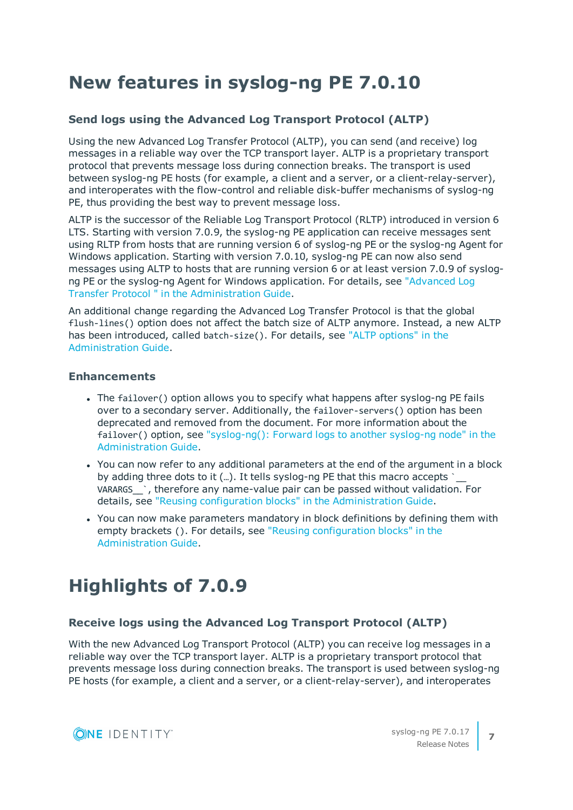## **New features in syslog-ng PE 7.0.10**

### **Send logs using the Advanced Log Transport Protocol (ALTP)**

Using the new Advanced Log Transfer Protocol (ALTP), you can send (and receive) log messages in a reliable way over the TCP transport layer. ALTP is a proprietary transport protocol that prevents message loss during connection breaks. The transport is used between syslog-ng PE hosts (for example, a client and a server, or a client-relay-server), and interoperates with the flow-control and reliable disk-buffer mechanisms of syslog-ng PE, thus providing the best way to prevent message loss.

ALTP is the successor of the Reliable Log Transport Protocol (RLTP) introduced in version 6 LTS. Starting with version 7.0.9, the syslog-ng PE application can receive messages sent using RLTP from hosts that are running version 6 of syslog-ng PE or the syslog-ng Agent for Windows application. Starting with version 7.0.10, syslog-ng PE can now also send messages using ALTP to hosts that are running version 6 or at least version 7.0.9 of syslogng PE or the syslog-ng Agent for Windows application. For details, see ["Advanced](https://support.oneidentity.com/technical-documents/syslog-ng-premium-edition/7.0.17/administration-guide/) Log Transfer Protocol " in the [Administration](https://support.oneidentity.com/technical-documents/syslog-ng-premium-edition/7.0.17/administration-guide/) Guide.

An additional change regarding the Advanced Log Transfer Protocol is that the global flush-lines() option does not affect the batch size of ALTP anymore. Instead, a new ALTP has been introduced, called batch-size(). For details, see "ALTP [options"](https://support.oneidentity.com/technical-documents/syslog-ng-premium-edition/7.0.17/administration-guide/advanced-log-transfer-protocol   /altp-options/) in the [Administration](https://support.oneidentity.com/technical-documents/syslog-ng-premium-edition/7.0.17/administration-guide/advanced-log-transfer-protocol   /altp-options/) Guide.

#### **Enhancements**

- The failover() option allows you to specify what happens after syslog-ng PE fails over to a secondary server. Additionally, the failover-servers() option has been deprecated and removed from the document. For more information about the failover() option, see ["syslog-ng\(\):](https://support.oneidentity.com/technical-documents/syslog-ng-premium-edition/7.0.17/administration-guide/sending-and-storing-log-messages-�-destinations-and-destination-drivers/syslog-ng-forward-logs-to-another-syslog-ng-node/) Forward logs to another syslog-ng node" in the [Administration](https://support.oneidentity.com/technical-documents/syslog-ng-premium-edition/7.0.17/administration-guide/sending-and-storing-log-messages-�-destinations-and-destination-drivers/syslog-ng-forward-logs-to-another-syslog-ng-node/) Guide.
- You can now refer to any additional parameters at the end of the argument in a block by adding three dots to it (...). It tells syslog-ng PE that this macro accepts ` VARARGS `, therefore any name-value pair can be passed without validation. For details, see "Reusing configuration blocks" in the [Administration](https://support.oneidentity.com/technical-documents/syslog-ng-premium-edition/7.0.17/administration-guide/the-syslog-ng-pe-configuration-file/managing-complex-syslog-ng-configurations/reusing-configuration-blocks/) Guide.
- You can now make parameters mandatory in block definitions by defining them with empty brackets (). For details, see "Reusing [configuration](https://support.oneidentity.com/technical-documents/syslog-ng-premium-edition/7.0.17/administration-guide/the-syslog-ng-pe-configuration-file/managing-complex-syslog-ng-configurations/reusing-configuration-blocks/) blocks" in the [Administration](https://support.oneidentity.com/technical-documents/syslog-ng-premium-edition/7.0.17/administration-guide/the-syslog-ng-pe-configuration-file/managing-complex-syslog-ng-configurations/reusing-configuration-blocks/) Guide.

# **Highlights of 7.0.9**

### **Receive logs using the Advanced Log Transport Protocol (ALTP)**

With the new Advanced Log Transport Protocol (ALTP) you can receive log messages in a reliable way over the TCP transport layer. ALTP is a proprietary transport protocol that prevents message loss during connection breaks. The transport is used between syslog-ng PE hosts (for example, a client and a server, or a client-relay-server), and interoperates

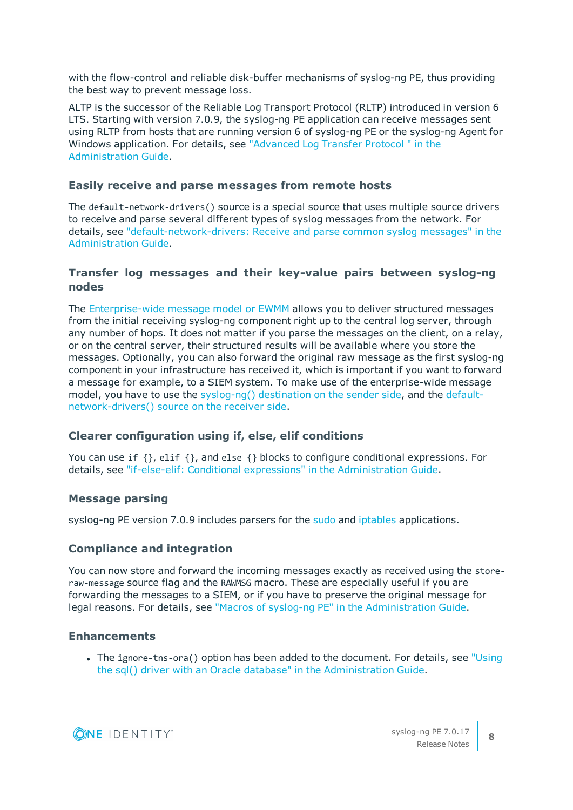with the flow-control and reliable disk-buffer mechanisms of syslog-ng PE, thus providing the best way to prevent message loss.

ALTP is the successor of the Reliable Log Transport Protocol (RLTP) introduced in version 6 LTS. Starting with version 7.0.9, the syslog-ng PE application can receive messages sent using RLTP from hosts that are running version 6 of syslog-ng PE or the syslog-ng Agent for Windows application. For details, see ["Advanced](https://support.oneidentity.com/technical-documents/syslog-ng-premium-edition/7.0.17/administration-guide/) Log Transfer Protocol " in the [Administration](https://support.oneidentity.com/technical-documents/syslog-ng-premium-edition/7.0.17/administration-guide/) Guide.

#### **Easily receive and parse messages from remote hosts**

The default-network-drivers() source is a special source that uses multiple source drivers to receive and parse several different types of syslog messages from the network. For details, see ["default-network-drivers:](https://support.oneidentity.com/technical-documents/syslog-ng-premium-edition/7.0.17/administration-guide/collecting-log-messages-�-sources-and-source-drivers/default-network-drivers-receive-and-parse-common-syslog-messages/) Receive and parse common syslog messages" in the [Administration](https://support.oneidentity.com/technical-documents/syslog-ng-premium-edition/7.0.17/administration-guide/collecting-log-messages-�-sources-and-source-drivers/default-network-drivers-receive-and-parse-common-syslog-messages/) Guide.

#### **Transfer log messages and their key-value pairs between syslog-ng nodes**

The [Enterprise-wide](https://support.oneidentity.com/technical-documents/syslog-ng-premium-edition/7.0.17/administration-guide/the-concepts-of-syslog-ng/the-structure-of-a-log-message/enterprise-wide-message-model-ewmm/) message model or EWMM allows you to deliver structured messages from the initial receiving syslog-ng component right up to the central log server, through any number of hops. It does not matter if you parse the messages on the client, on a relay, or on the central server, their structured results will be available where you store the messages. Optionally, you can also forward the original raw message as the first syslog-ng component in your infrastructure has received it, which is important if you want to forward a message for example, to a SIEM system. To make use of the enterprise-wide message model, you have to use the [syslog-ng\(\)](https://support.oneidentity.com/technical-documents/syslog-ng-premium-edition/7.0.17/administration-guide/sending-and-storing-log-messages-�-destinations-and-destination-drivers/syslog-ng-forward-logs-to-another-syslog-ng-node/) destination on the sender side, and the [default](https://support.oneidentity.com/technical-documents/syslog-ng-premium-edition/7.0.17/administration-guide/collecting-log-messages-�-sources-and-source-drivers/default-network-drivers-receive-and-parse-common-syslog-messages/)[network-drivers\(\)](https://support.oneidentity.com/technical-documents/syslog-ng-premium-edition/7.0.17/administration-guide/collecting-log-messages-�-sources-and-source-drivers/default-network-drivers-receive-and-parse-common-syslog-messages/) source on the receiver side.

#### **Clearer configuration using if, else, elif conditions**

You can use if {}, elif {}, and else {} blocks to configure conditional expressions. For details, see "if-else-elif: Conditional expressions" in the [Administration](https://support.oneidentity.com/technical-documents/syslog-ng-premium-edition/7.0.17/administration-guide/routing-messages-log-paths-flags-and-filters/log-paths/if-else-elif-conditional-expressions/) Guide.

#### **Message parsing**

syslog-ng PE version 7.0.9 includes parsers for the [sudo](https://support.oneidentity.com/technical-documents/syslog-ng-premium-edition/7.0.17/administration-guide/parser-parse-and-segment-structured-messages/sudo-parser/) and [iptables](https://support.oneidentity.com/technical-documents/syslog-ng-premium-edition/7.0.17/administration-guide/parser-parse-and-segment-structured-messages/iptables-parser/) applications.

#### **Compliance and integration**

You can now store and forward the incoming messages exactly as received using the storeraw-message source flag and the RAWMSG macro. These are especially useful if you are forwarding the messages to a SIEM, or if you have to preserve the original message for legal reasons. For details, see "Macros of syslog-ng PE" in the [Administration](https://support.oneidentity.com/technical-documents/syslog-ng-premium-edition/7.0.17/administration-guide/manipulating-messages/customizing-message-format-using-macros-and-templates/macros-of-syslog-ng-pe/) Guide.

#### **Enhancements**

• The ignore-tns-ora() option has been added to the document. For details, see ["Using](https://support.oneidentity.com/technical-documents/syslog-ng-premium-edition/7.0.17/administration-guide/sending-and-storing-log-messages-�-destinations-and-destination-drivers/sql-storing-messages-in-an-sql-database/using-the-sql-driver-with-an-oracle-database/) the sql() driver with an Oracle database" in the [Administration](https://support.oneidentity.com/technical-documents/syslog-ng-premium-edition/7.0.17/administration-guide/sending-and-storing-log-messages-�-destinations-and-destination-drivers/sql-storing-messages-in-an-sql-database/using-the-sql-driver-with-an-oracle-database/) Guide.

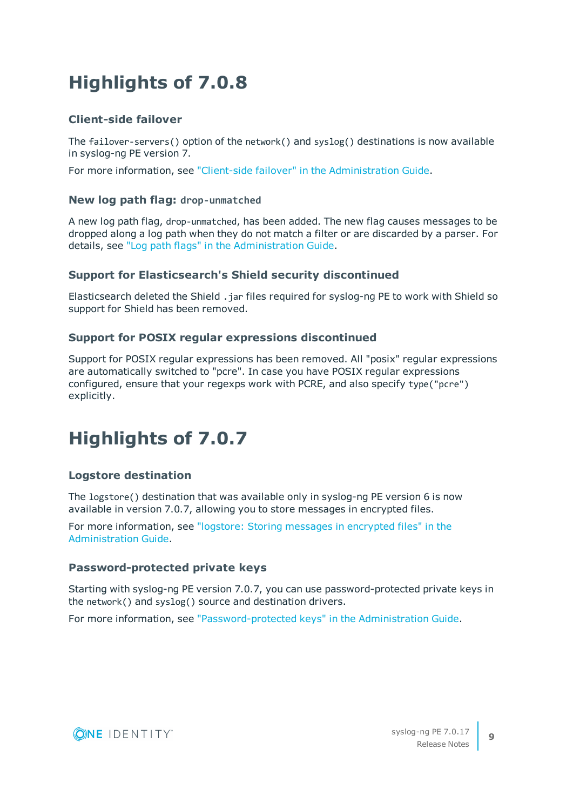# **Highlights of 7.0.8**

### **Client-side failover**

The failover-servers() option of the network() and syslog() destinations is now available in syslog-ng PE version 7.

For more information, see "Client-side failover" in the [Administration](https://support.oneidentity.com/technical-documents/syslog-ng-premium-edition/7.0.17/administration-guide/sending-and-storing-log-messages-�-destinations-and-destination-drivers/client-side-failover/) Guide.

#### **New log path flag: drop-unmatched**

A new log path flag, drop-unmatched, has been added. The new flag causes messages to be dropped along a log path when they do not match a filter or are discarded by a parser. For details, see "Log path flags" in the [Administration](https://support.oneidentity.com/technical-documents/syslog-ng-premium-edition/7.0.17/administration-guide/routing-messages-log-paths-flags-and-filters/log-paths/log-path-flags/) Guide.

#### **Support for Elasticsearch's Shield security discontinued**

Elasticsearch deleted the Shield .jar files required for syslog-ng PE to work with Shield so support for Shield has been removed.

#### **Support for POSIX regular expressions discontinued**

Support for POSIX regular expressions has been removed. All "posix" regular expressions are automatically switched to "pcre". In case you have POSIX regular expressions configured, ensure that your regexps work with PCRE, and also specify type("pcre") explicitly.

# **Highlights of 7.0.7**

### **Logstore destination**

The logstore() destination that was available only in syslog-ng PE version 6 is now available in version 7.0.7, allowing you to store messages in encrypted files.

For more information, see "logstore: Storing messages in [encrypted](https://support.oneidentity.com/technical-documents/syslog-ng-premium-edition/7.0.17/administration-guide/sending-and-storing-log-messages-�-destinations-and-destination-drivers/logstore-storing-messages-in-encrypted-files/) files" in the [Administration](https://support.oneidentity.com/technical-documents/syslog-ng-premium-edition/7.0.17/administration-guide/sending-and-storing-log-messages-�-destinations-and-destination-drivers/logstore-storing-messages-in-encrypted-files/) Guide.

### **Password-protected private keys**

Starting with syslog-ng PE version 7.0.7, you can use password-protected private keys in the network() and syslog() source and destination drivers.

For more information, see ["Password-protected](https://support.oneidentity.com/technical-documents/syslog-ng-premium-edition/7.0.17/administration-guide/tls-encrypted-message-transfer/password-protected-keys/) keys" in the Administration Guide.

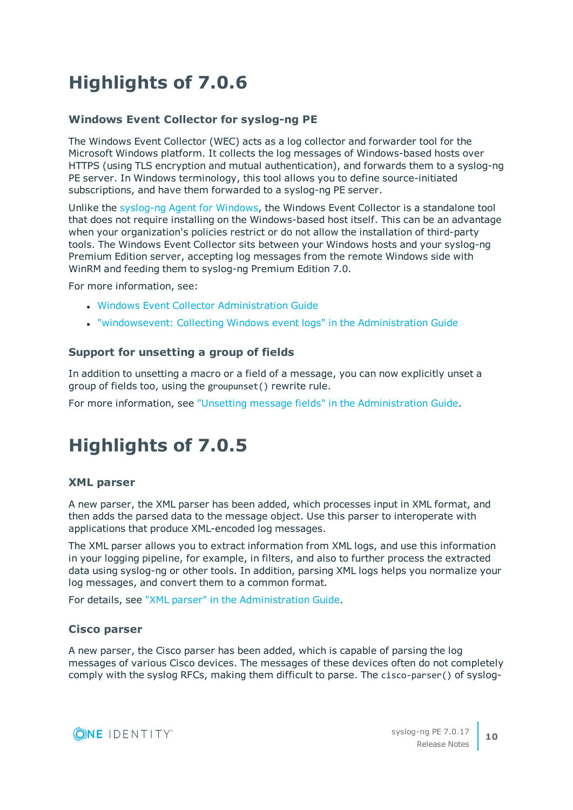# **Highlights of 7.0.6**

### **Windows Event Collector for syslog-ng PE**

The Windows Event Collector (WEC) acts as a log collector and forwarder tool for the Microsoft Windows platform. It collects the log messages of Windows-based hosts over HTTPS (using TLS encryption and mutual authentication), and forwards them to a syslog-ng PE server. In Windows terminology, this tool allows you to define source-initiated subscriptions, and have them forwarded to a syslog-ng PE server.

Unlike the [syslog-ng](https://syslog-ng.com/documents/html/syslog-ng-pe-6.0-guides/en/syslog-ng-windows-agent-guide-admin/html/index.html) Agent for Windows, the Windows Event Collector is a standalone tool that does not require installing on the Windows-based host itself. This can be an advantage when your organization's policies restrict or do not allow the installation of third-party tools. The Windows Event Collector sits between your Windows hosts and your syslog-ng Premium Edition server, accepting log messages from the remote Windows side with WinRM and feeding them to syslog-ng Premium Edition 7.0.

For more information, see:

- **.** Windows Event Collector [Administration](https://support.oneidentity.com/technical-documents/syslog-ng-premium-edition/7.0.17/windows-event-collector-administration-guide/) Guide
- <sup>l</sup> ["windowsevent:](https://support.oneidentity.com/technical-documents/syslog-ng-premium-edition/7.0.17/administration-guide/collecting-log-messages-�-sources-and-source-drivers/windowsevent-collecting-windows-event-logs/) Collecting Windows event logs" in the Administration Guide

#### **Support for unsetting a group of fields**

In addition to unsetting a macro or a field of a message, you can now explicitly unset a group of fields too, using the groupunset() rewrite rule.

For more information, see "Unsetting message fields" in the [Administration](https://support.oneidentity.com/technical-documents/syslog-ng-premium-edition/7.0.17/administration-guide/manipulating-messages/modifying-messages-using-rewrite-rules/unsetting-message-fields/) Guide.

# **Highlights of 7.0.5**

#### **XML parser**

A new parser, the XML parser has been added, which processes input in XML format, and then adds the parsed data to the message object. Use this parser to interoperate with applications that produce XML-encoded log messages.

The XML parser allows you to extract information from XML logs, and use this information in your logging pipeline, for example, in filters, and also to further process the extracted data using syslog-ng or other tools. In addition, parsing XML logs helps you normalize your log messages, and convert them to a common format.

For details, see "XML parser" in the [Administration](https://support.oneidentity.com/technical-documents/syslog-ng-premium-edition/7.0.17/administration-guide/parser-parse-and-segment-structured-messages/xml-parser/) Guide.

#### **Cisco parser**

A new parser, the Cisco parser has been added, which is capable of parsing the log messages of various Cisco devices. The messages of these devices often do not completely comply with the syslog RFCs, making them difficult to parse. The cisco-parser() of syslog-

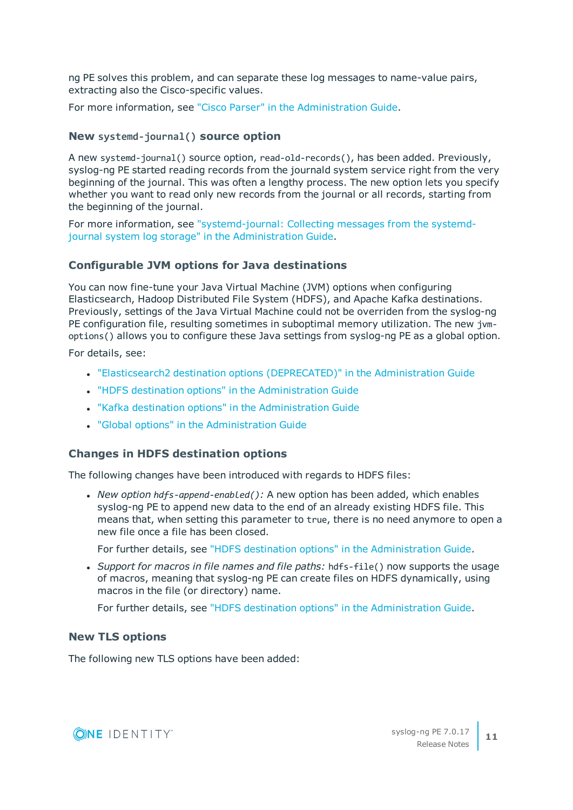ng PE solves this problem, and can separate these log messages to name-value pairs, extracting also the Cisco-specific values.

For more information, see "Cisco Parser" in the [Administration](https://support.oneidentity.com/technical-documents/syslog-ng-premium-edition/7.0.17/administration-guide/parser-parse-and-segment-structured-messages/cisco-parser/) Guide.

#### **New systemd-journal() source option**

A new systemd-journal() source option, read-old-records(), has been added. Previously, syslog-ng PE started reading records from the journald system service right from the very beginning of the journal. This was often a lengthy process. The new option lets you specify whether you want to read only new records from the journal or all records, starting from the beginning of the journal.

For more information, see ["systemd-journal:](https://support.oneidentity.com/technical-documents/syslog-ng-premium-edition/7.0.17/administration-guide/collecting-log-messages-�-sources-and-source-drivers/systemd-journal-collecting-messages-from-the-systemd-journal-system-log-storage/) Collecting messages from the systemdjournal system log storage" in the [Administration](https://support.oneidentity.com/technical-documents/syslog-ng-premium-edition/7.0.17/administration-guide/collecting-log-messages-�-sources-and-source-drivers/systemd-journal-collecting-messages-from-the-systemd-journal-system-log-storage/) Guide.

#### **Configurable JVM options for Java destinations**

You can now fine-tune your Java Virtual Machine (JVM) options when configuring Elasticsearch, Hadoop Distributed File System (HDFS), and Apache Kafka destinations. Previously, settings of the Java Virtual Machine could not be overriden from the syslog-ng PE configuration file, resulting sometimes in suboptimal memory utilization. The new jvmoptions() allows you to configure these Java settings from syslog-ng PE as a global option.

For details, see:

- "Elasticsearch2 destination options [\(DEPRECATED\)"](https://support.oneidentity.com/technical-documents/syslog-ng-premium-edition/7.0.17/administration-guide/sending-and-storing-log-messages-�-destinations-and-destination-drivers/elasticsearch2-sending-messages-directly-to-elasticsearch-version-2.0-or-higher-deprecated/elasticsearch2-destination-options-deprecated/) in the Administration Guide
- "HDFS destination options" in the [Administration](https://support.oneidentity.com/technical-documents/syslog-ng-premium-edition/7.0.17/administration-guide/sending-and-storing-log-messages-�-destinations-and-destination-drivers/hdfs-storing-messages-on-the-hadoop-distributed-file-system-hdfs/hdfs-destination-options/) Guide
- "Kafka destination options" in the [Administration](https://support.oneidentity.com/technical-documents/syslog-ng-premium-edition/7.0.17/administration-guide/sending-and-storing-log-messages-�-destinations-and-destination-drivers/kafka-publishing-messages-to-apache-kafka/kafka-destination-options/) Guide
- <sup>l</sup> "Global options" in the [Administration](https://support.oneidentity.com/technical-documents/syslog-ng-premium-edition/7.0.17/administration-guide/global-options-of-syslog-ng-pe/global-options/) Guide

#### **Changes in HDFS destination options**

The following changes have been introduced with regards to HDFS files:

<sup>l</sup> *New option hdfs-append-enabled():* A new option has been added, which enables syslog-ng PE to append new data to the end of an already existing HDFS file. This means that, when setting this parameter to true, there is no need anymore to open a new file once a file has been closed.

For further details, see "HDFS destination options" in the [Administration](https://support.oneidentity.com/technical-documents/syslog-ng-premium-edition/7.0.17/administration-guide/sending-and-storing-log-messages-�-destinations-and-destination-drivers/hdfs-storing-messages-on-the-hadoop-distributed-file-system-hdfs/hdfs-destination-options/) Guide.

<sup>l</sup> *Support for macros in file names and file paths:* hdfs-file() now supports the usage of macros, meaning that syslog-ng PE can create files on HDFS dynamically, using macros in the file (or directory) name.

For further details, see "HDFS destination options" in the [Administration](https://support.oneidentity.com/technical-documents/syslog-ng-premium-edition/7.0.17/administration-guide/sending-and-storing-log-messages-�-destinations-and-destination-drivers/hdfs-storing-messages-on-the-hadoop-distributed-file-system-hdfs/hdfs-destination-options/) Guide.

#### **New TLS options**

The following new TLS options have been added:

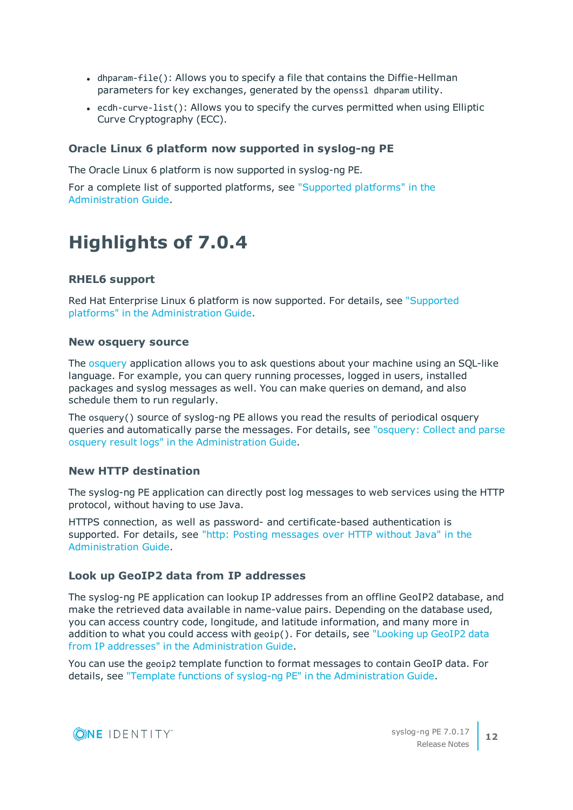- $\bullet$  dhparam-file(): Allows you to specify a file that contains the Diffie-Hellman parameters for key exchanges, generated by the openssl dhparam utility.
- ecdh-curve-list(): Allows you to specify the curves permitted when using Elliptic Curve Cryptography (ECC).

#### **Oracle Linux 6 platform now supported in syslog-ng PE**

The Oracle Linux 6 platform is now supported in syslog-ng PE.

For a complete list of supported platforms, see ["Supported](https://support.oneidentity.com/technical-documents/syslog-ng-premium-edition/7.0.17/administration-guide/introduction-to-syslog-ng/supported-platforms/) platforms" in the [Administration](https://support.oneidentity.com/technical-documents/syslog-ng-premium-edition/7.0.17/administration-guide/introduction-to-syslog-ng/supported-platforms/) Guide.

## **Highlights of 7.0.4**

#### **RHEL6 support**

Red Hat Enterprise Linux 6 platform is now supported. For details, see ["Supported](https://support.oneidentity.com/technical-documents/syslog-ng-premium-edition/7.0.17/administration-guide/introduction-to-syslog-ng/supported-platforms/) platforms" in the [Administration](https://support.oneidentity.com/technical-documents/syslog-ng-premium-edition/7.0.17/administration-guide/introduction-to-syslog-ng/supported-platforms/) Guide.

#### **New osquery source**

The [osquery](https://osquery.io/) application allows you to ask questions about your machine using an SQL-like language. For example, you can query running processes, logged in users, installed packages and syslog messages as well. You can make queries on demand, and also schedule them to run regularly.

The osquery() source of syslog-ng PE allows you read the results of periodical osquery queries and automatically parse the messages. For details, see ["osquery:](https://support.oneidentity.com/technical-documents/syslog-ng-premium-edition/7.0.17/administration-guide/collecting-log-messages-�-sources-and-source-drivers/osquery-collect-and-parse-osquery-result-logs/) Collect and parse osquery result logs" in the [Administration](https://support.oneidentity.com/technical-documents/syslog-ng-premium-edition/7.0.17/administration-guide/collecting-log-messages-�-sources-and-source-drivers/osquery-collect-and-parse-osquery-result-logs/) Guide.

#### **New HTTP destination**

The syslog-ng PE application can directly post log messages to web services using the HTTP protocol, without having to use Java.

HTTPS connection, as well as password- and certificate-based authentication is supported. For details, see "http: Posting [messages](https://support.oneidentity.com/technical-documents/syslog-ng-premium-edition/7.0.17/administration-guide/sending-and-storing-log-messages-�-destinations-and-destination-drivers/http-posting-messages-over-http-without-java/) over HTTP without Java" in the [Administration](https://support.oneidentity.com/technical-documents/syslog-ng-premium-edition/7.0.17/administration-guide/sending-and-storing-log-messages-�-destinations-and-destination-drivers/http-posting-messages-over-http-without-java/) Guide.

#### **Look up GeoIP2 data from IP addresses**

The syslog-ng PE application can lookup IP addresses from an offline GeoIP2 database, and make the retrieved data available in name-value pairs. Depending on the database used, you can access country code, longitude, and latitude information, and many more in addition to what you could access with geoip(). For details, see ["Looking](https://support.oneidentity.com/technical-documents/syslog-ng-premium-edition/7.0.17/administration-guide/enriching-log-messages-with-external-data/looking-up-geoip2-data-from-ip-addresses/) up GeoIP2 data from IP addresses" in the [Administration](https://support.oneidentity.com/technical-documents/syslog-ng-premium-edition/7.0.17/administration-guide/enriching-log-messages-with-external-data/looking-up-geoip2-data-from-ip-addresses/) Guide.

You can use the geoip2 template function to format messages to contain GeoIP data. For details, see "Template functions of syslog-ng PE" in the [Administration](https://support.oneidentity.com/technical-documents/syslog-ng-premium-edition/7.0.17/administration-guide/manipulating-messages/customizing-message-format-using-macros-and-templates/template-functions-of-syslog-ng-pe/) Guide.

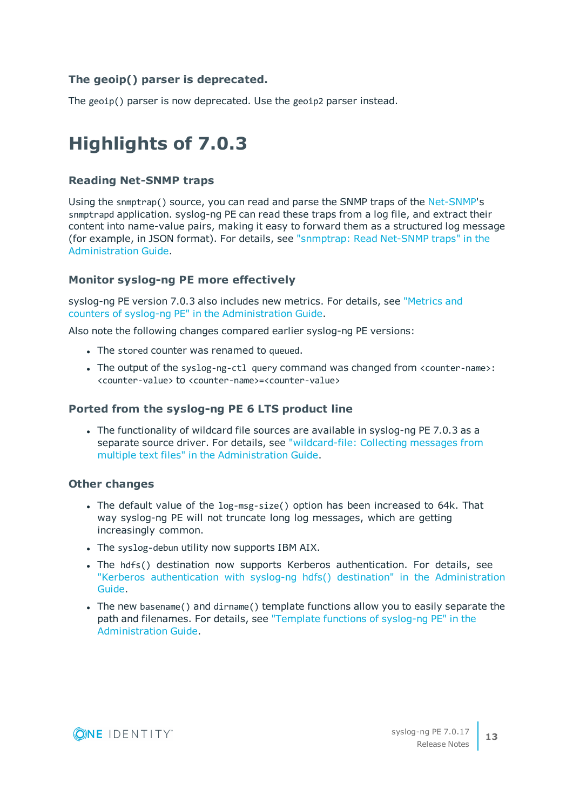### **The geoip() parser is deprecated.**

The geoip() parser is now deprecated. Use the geoip2 parser instead.

## **Highlights of 7.0.3**

#### **Reading Net-SNMP traps**

Using the snmptrap() source, you can read and parse the SNMP traps of the [Net-SNMP](http://www.net-snmp.org/)'s snmptrapd application. syslog-ng PE can read these traps from a log file, and extract their content into name-value pairs, making it easy to forward them as a structured log message (for example, in JSON format). For details, see ["snmptrap:](https://support.oneidentity.com/technical-documents/syslog-ng-premium-edition/7.0.17/administration-guide/collecting-log-messages-�-sources-and-source-drivers/snmptrap-read-net-snmp-traps/) Read Net-SNMP traps" in the [Administration](https://support.oneidentity.com/technical-documents/syslog-ng-premium-edition/7.0.17/administration-guide/collecting-log-messages-�-sources-and-source-drivers/snmptrap-read-net-snmp-traps/) Guide.

#### **Monitor syslog-ng PE more effectively**

syslog-ng PE version 7.0.3 also includes new metrics. For details, see ["Metrics](https://support.oneidentity.com/technical-documents/syslog-ng-premium-edition/7.0.17/administration-guide/monitoring-statistics-and-metrics-of-syslog-ng/metrics-and-counters-of-syslog-ng-pe/) and counters of syslog-ng PE" in the [Administration](https://support.oneidentity.com/technical-documents/syslog-ng-premium-edition/7.0.17/administration-guide/monitoring-statistics-and-metrics-of-syslog-ng/metrics-and-counters-of-syslog-ng-pe/) Guide.

Also note the following changes compared earlier syslog-ng PE versions:

- The stored counter was renamed to queued.
- The output of the syslog-ng-ctl query command was changed from <counter-name>: <counter-value> to <counter-name>=<counter-value>

#### **Ported from the syslog-ng PE 6 LTS product line**

• The functionality of wildcard file sources are available in syslog-ng PE 7.0.3 as a separate source driver. For details, see ["wildcard-file:](https://support.oneidentity.com/technical-documents/syslog-ng-premium-edition/7.0.17/administration-guide/collecting-log-messages-�-sources-and-source-drivers/wildcard-file-collecting-messages-from-multiple-text-files/) Collecting messages from multiple text files" in the [Administration](https://support.oneidentity.com/technical-documents/syslog-ng-premium-edition/7.0.17/administration-guide/collecting-log-messages-�-sources-and-source-drivers/wildcard-file-collecting-messages-from-multiple-text-files/) Guide.

#### **Other changes**

- The default value of the  $log-msg-size()$  option has been increased to 64k. That way syslog-ng PE will not truncate long log messages, which are getting increasingly common.
- The syslog-debun utility now supports IBM AIX.
- The hdfs() destination now supports Kerberos authentication. For details, see "Kerberos authentication with syslog-ng hdfs() destination" in the [Administration](https://support.oneidentity.com/technical-documents/syslog-ng-premium-edition/7.0.17/administration-guide/sending-and-storing-log-messages-�-destinations-and-destination-drivers/hdfs-storing-messages-on-the-hadoop-distributed-file-system-hdfs/kerberos-authentication-with-syslog-ng-hdfs-destination/) [Guide.](https://support.oneidentity.com/technical-documents/syslog-ng-premium-edition/7.0.17/administration-guide/sending-and-storing-log-messages-�-destinations-and-destination-drivers/hdfs-storing-messages-on-the-hadoop-distributed-file-system-hdfs/kerberos-authentication-with-syslog-ng-hdfs-destination/)
- The new basename() and dirname() template functions allow you to easily separate the path and filenames. For details, see ["Template](https://support.oneidentity.com/technical-documents/syslog-ng-premium-edition/7.0.17/administration-guide/manipulating-messages/customizing-message-format-using-macros-and-templates/template-functions-of-syslog-ng-pe/) functions of syslog-ng PE" in the [Administration](https://support.oneidentity.com/technical-documents/syslog-ng-premium-edition/7.0.17/administration-guide/manipulating-messages/customizing-message-format-using-macros-and-templates/template-functions-of-syslog-ng-pe/) Guide.

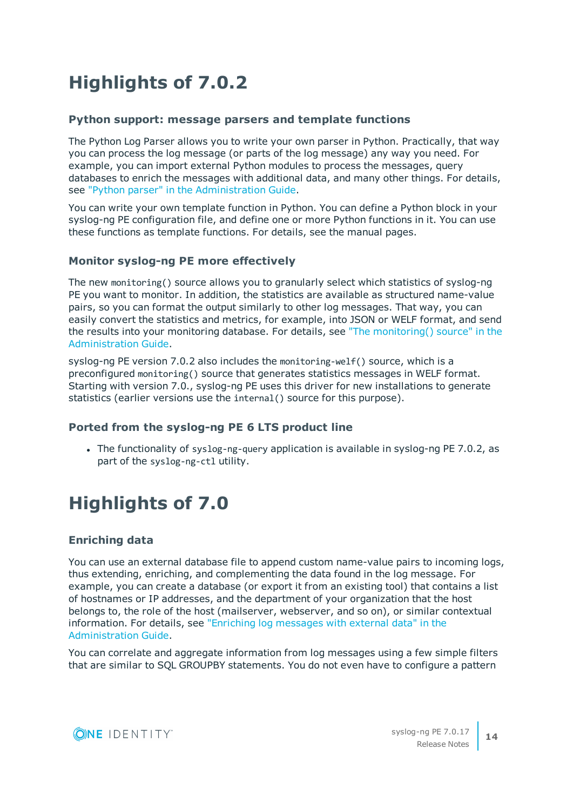# **Highlights of 7.0.2**

#### **Python support: message parsers and template functions**

The Python Log Parser allows you to write your own parser in Python. Practically, that way you can process the log message (or parts of the log message) any way you need. For example, you can import external Python modules to process the messages, query databases to enrich the messages with additional data, and many other things. For details, see "Python parser" in the [Administration](https://support.oneidentity.com/technical-documents/syslog-ng-premium-edition/7.0.17/administration-guide/parser-parse-and-segment-structured-messages/python-parser/) Guide.

You can write your own template function in Python. You can define a Python block in your syslog-ng PE configuration file, and define one or more Python functions in it. You can use these functions as template functions. For details, see the manual pages.

#### **Monitor syslog-ng PE more effectively**

The new monitoring() source allows you to granularly select which statistics of syslog-ng PE you want to monitor. In addition, the statistics are available as structured name-value pairs, so you can format the output similarly to other log messages. That way, you can easily convert the statistics and metrics, for example, into JSON or WELF format, and send the results into your monitoring database. For details, see "The [monitoring\(\)](https://support.oneidentity.com/technical-documents/syslog-ng-premium-edition/7.0.17/administration-guide/monitoring-statistics-and-metrics-of-syslog-ng/the-monitoring-source/) source" in the [Administration](https://support.oneidentity.com/technical-documents/syslog-ng-premium-edition/7.0.17/administration-guide/monitoring-statistics-and-metrics-of-syslog-ng/the-monitoring-source/) Guide.

syslog-ng PE version 7.0.2 also includes the monitoring-welf() source, which is a preconfigured monitoring() source that generates statistics messages in WELF format. Starting with version 7.0., syslog-ng PE uses this driver for new installations to generate statistics (earlier versions use the internal() source for this purpose).

### **Ported from the syslog-ng PE 6 LTS product line**

• The functionality of syslog-ng-query application is available in syslog-ng PE 7.0.2, as part of the syslog-ng-ctl utility.

# **Highlights of 7.0**

### **Enriching data**

You can use an external database file to append custom name-value pairs to incoming logs, thus extending, enriching, and complementing the data found in the log message. For example, you can create a database (or export it from an existing tool) that contains a list of hostnames or IP addresses, and the department of your organization that the host belongs to, the role of the host (mailserver, webserver, and so on), or similar contextual information. For details, see ["Enriching](https://support.oneidentity.com/technical-documents/syslog-ng-premium-edition/7.0.17/administration-guide/) log messages with external data" in the [Administration](https://support.oneidentity.com/technical-documents/syslog-ng-premium-edition/7.0.17/administration-guide/) Guide.

You can correlate and aggregate information from log messages using a few simple filters that are similar to SQL GROUPBY statements. You do not even have to configure a pattern

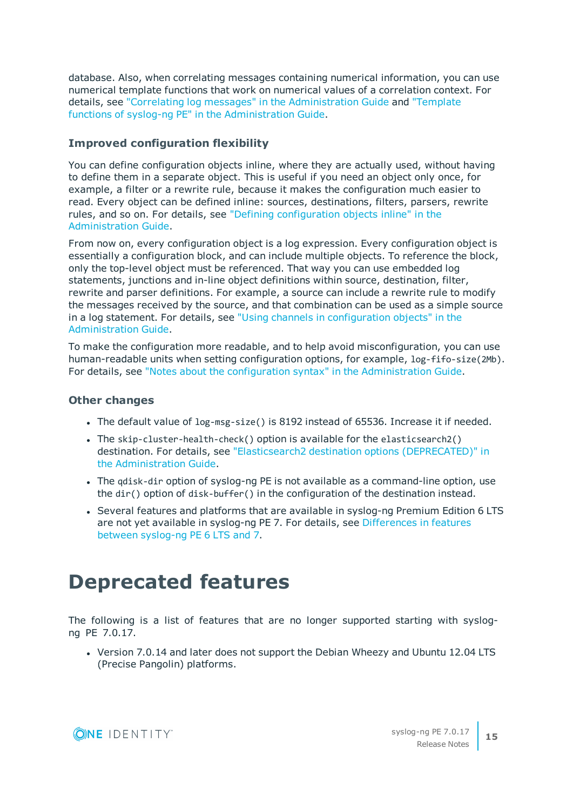database. Also, when correlating messages containing numerical information, you can use numerical template functions that work on numerical values of a correlation context. For details, see "Correlating log messages" in the [Administration](https://support.oneidentity.com/technical-documents/syslog-ng-premium-edition/7.0.17/administration-guide/) Guide and ["Template](https://support.oneidentity.com/technical-documents/syslog-ng-premium-edition/7.0.17/administration-guide/manipulating-messages/customizing-message-format-using-macros-and-templates/template-functions-of-syslog-ng-pe/) functions of syslog-ng PE" in the [Administration](https://support.oneidentity.com/technical-documents/syslog-ng-premium-edition/7.0.17/administration-guide/manipulating-messages/customizing-message-format-using-macros-and-templates/template-functions-of-syslog-ng-pe/) Guide.

#### **Improved configuration flexibility**

You can define configuration objects inline, where they are actually used, without having to define them in a separate object. This is useful if you need an object only once, for example, a filter or a rewrite rule, because it makes the configuration much easier to read. Every object can be defined inline: sources, destinations, filters, parsers, rewrite rules, and so on. For details, see "Defining [configuration](https://support.oneidentity.com/technical-documents/syslog-ng-premium-edition/7.0.17/administration-guide/the-syslog-ng-pe-configuration-file/defining-configuration-objects-inline/) objects inline" in the [Administration](https://support.oneidentity.com/technical-documents/syslog-ng-premium-edition/7.0.17/administration-guide/the-syslog-ng-pe-configuration-file/defining-configuration-objects-inline/) Guide.

From now on, every configuration object is a log expression. Every configuration object is essentially a configuration block, and can include multiple objects. To reference the block, only the top-level object must be referenced. That way you can use embedded log statements, junctions and in-line object definitions within source, destination, filter, rewrite and parser definitions. For example, a source can include a rewrite rule to modify the messages received by the source, and that combination can be used as a simple source in a log statement. For details, see "Using channels in [configuration](https://support.oneidentity.com/technical-documents/syslog-ng-premium-edition/7.0.17/administration-guide/the-syslog-ng-pe-configuration-file/using-channels-in-configuration-objects/) objects" in the [Administration](https://support.oneidentity.com/technical-documents/syslog-ng-premium-edition/7.0.17/administration-guide/the-syslog-ng-pe-configuration-file/using-channels-in-configuration-objects/) Guide.

To make the configuration more readable, and to help avoid misconfiguration, you can use human-readable units when setting configuration options, for example, log-fifo-size(2Mb). For details, see "Notes about the configuration syntax" in the [Administration](https://support.oneidentity.com/technical-documents/syslog-ng-premium-edition/7.0.17/administration-guide/the-syslog-ng-pe-configuration-file/notes-about-the-configuration-syntax/) Guide.

#### **Other changes**

- The default value of log-msg-size() is 8192 instead of 65536. Increase it if needed.
- The skip-cluster-health-check() option is available for the elasticsearch2() destination. For details, see "Elasticsearch2 destination options [\(DEPRECATED\)"](https://support.oneidentity.com/technical-documents/syslog-ng-premium-edition/7.0.17/administration-guide/sending-and-storing-log-messages-�-destinations-and-destination-drivers/elasticsearch2-sending-messages-directly-to-elasticsearch-version-2.0-or-higher-deprecated/elasticsearch2-destination-options-deprecated/) in the [Administration](https://support.oneidentity.com/technical-documents/syslog-ng-premium-edition/7.0.17/administration-guide/sending-and-storing-log-messages-�-destinations-and-destination-drivers/elasticsearch2-sending-messages-directly-to-elasticsearch-version-2.0-or-higher-deprecated/elasticsearch2-destination-options-deprecated/) Guide.
- The gdisk-dir option of syslog-ng PE is not available as a command-line option, use the dir() option of disk-buffer() in the configuration of the destination instead.
- Several features and platforms that are available in syslog-ng Premium Edition 6 LTS are not yet available in syslog-ng PE 7. For details, see [Differences](#page-17-0) in features between [syslog-ng](#page-17-0) PE 6 LTS and 7.

## **Deprecated features**

The following is a list of features that are no longer supported starting with syslogng PE 7.0.17.

• Version 7.0.14 and later does not support the Debian Wheezy and Ubuntu 12.04 LTS (Precise Pangolin) platforms.

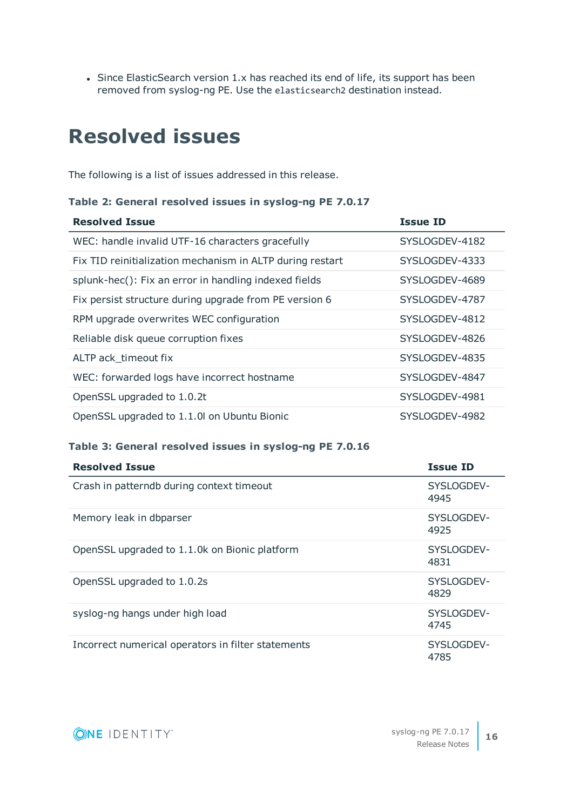• Since ElasticSearch version 1.x has reached its end of life, its support has been removed from syslog-ng PE. Use the elasticsearch2 destination instead.

# **Resolved issues**

The following is a list of issues addressed in this release.

#### **Table 2: General resolved issues in syslog-ng PE 7.0.17**

| <b>Resolved Issue</b>                                     | <b>Issue ID</b> |
|-----------------------------------------------------------|-----------------|
| WEC: handle invalid UTF-16 characters gracefully          | SYSLOGDEV-4182  |
| Fix TID reinitialization mechanism in ALTP during restart | SYSLOGDEV-4333  |
| splunk-hec(): Fix an error in handling indexed fields     | SYSLOGDEV-4689  |
| Fix persist structure during upgrade from PE version 6    | SYSLOGDEV-4787  |
| RPM upgrade overwrites WEC configuration                  | SYSLOGDEV-4812  |
| Reliable disk queue corruption fixes                      | SYSLOGDEV-4826  |
| ALTP ack_timeout fix                                      | SYSLOGDEV-4835  |
| WEC: forwarded logs have incorrect hostname               | SYSLOGDEV-4847  |
| OpenSSL upgraded to 1.0.2t                                | SYSLOGDEV-4981  |
| OpenSSL upgraded to 1.1.0 on Ubuntu Bionic                | SYSLOGDEV-4982  |

#### **Table 3: General resolved issues in syslog-ng PE 7.0.16**

| <b>Resolved Issue</b>                              | <b>Issue ID</b>    |
|----------------------------------------------------|--------------------|
| Crash in patterndb during context timeout          | SYSLOGDEV-<br>4945 |
| Memory leak in dbparser                            | SYSLOGDEV-<br>4925 |
| OpenSSL upgraded to 1.1.0k on Bionic platform      | SYSLOGDEV-<br>4831 |
| OpenSSL upgraded to 1.0.2s                         | SYSLOGDEV-<br>4829 |
| syslog-ng hangs under high load                    | SYSLOGDEV-<br>4745 |
| Incorrect numerical operators in filter statements | SYSLOGDEV-<br>4785 |

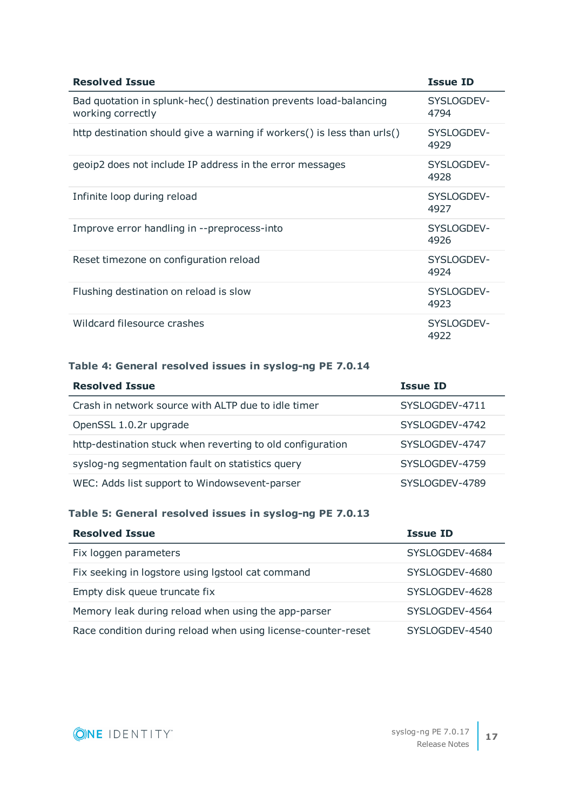| <b>Resolved Issue</b>                                                                  | <b>Issue ID</b>    |
|----------------------------------------------------------------------------------------|--------------------|
| Bad quotation in splunk-hec() destination prevents load-balancing<br>working correctly | SYSLOGDEV-<br>4794 |
| http destination should give a warning if workers() is less than urls()                | SYSLOGDEV-<br>4929 |
| geoip2 does not include IP address in the error messages                               | SYSLOGDEV-<br>4928 |
| Infinite loop during reload                                                            | SYSLOGDEV-<br>4927 |
| Improve error handling in --preprocess-into                                            | SYSLOGDEV-<br>4926 |
| Reset timezone on configuration reload                                                 | SYSLOGDEV-<br>4924 |
| Flushing destination on reload is slow                                                 | SYSLOGDEV-<br>4923 |
| Wildcard filesource crashes                                                            | SYSLOGDEV-<br>4922 |

### **Table 4: General resolved issues in syslog-ng PE 7.0.14**

| <b>Resolved Issue</b>                                      | <b>Issue ID</b> |
|------------------------------------------------------------|-----------------|
| Crash in network source with ALTP due to idle timer        | SYSLOGDEV-4711  |
| OpenSSL 1.0.2r upgrade                                     | SYSLOGDEV-4742  |
| http-destination stuck when reverting to old configuration | SYSLOGDEV-4747  |
| syslog-ng segmentation fault on statistics query           | SYSLOGDEV-4759  |
| WEC: Adds list support to Windowsevent-parser              | SYSLOGDEV-4789  |

### **Table 5: General resolved issues in syslog-ng PE 7.0.13**

| <b>Resolved Issue</b>                                         | <b>Issue ID</b> |
|---------------------------------------------------------------|-----------------|
| Fix loggen parameters                                         | SYSLOGDEV-4684  |
| Fix seeking in logstore using Igstool cat command             | SYSLOGDEV-4680  |
| Empty disk queue truncate fix                                 | SYSLOGDEV-4628  |
| Memory leak during reload when using the app-parser           | SYSLOGDEV-4564  |
| Race condition during reload when using license-counter-reset | SYSLOGDEV-4540  |

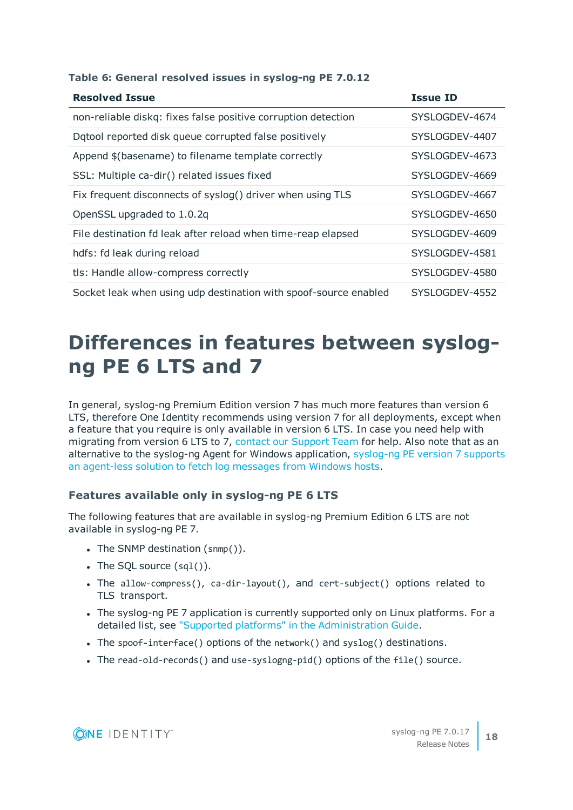| <b>Resolved Issue</b>                                            | Issue ID       |
|------------------------------------------------------------------|----------------|
| non-reliable diskq: fixes false positive corruption detection    | SYSLOGDEV-4674 |
| Dqtool reported disk queue corrupted false positively            | SYSLOGDEV-4407 |
| Append \$(basename) to filename template correctly               | SYSLOGDEV-4673 |
| SSL: Multiple ca-dir() related issues fixed                      | SYSLOGDEV-4669 |
| Fix frequent disconnects of syslog() driver when using TLS       | SYSLOGDEV-4667 |
| OpenSSL upgraded to 1.0.2q                                       | SYSLOGDEV-4650 |
| File destination fd leak after reload when time-reap elapsed     | SYSLOGDEV-4609 |
| hdfs: fd leak during reload                                      | SYSLOGDEV-4581 |
| tls: Handle allow-compress correctly                             | SYSLOGDEV-4580 |
| Socket leak when using udp destination with spoof-source enabled | SYSLOGDEV-4552 |

#### **Table 6: General resolved issues in syslog-ng PE 7.0.12**

# <span id="page-17-0"></span>**Differences in features between syslogng PE 6 LTS and 7**

In general, syslog-ng Premium Edition version 7 has much more features than version 6 LTS, therefore One Identity recommends using version 7 for all deployments, except when a feature that you require is only available in version 6 LTS. In case you need help with migrating from version 6 LTS to 7, contact our [Support](https://support.oneidentity.com/syslog-ng-premium-edition/) Team for help. Also note that as an alternative to the syslog-ng Agent for Windows application, [syslog-ng](https://support.oneidentity.com/technical-documents/syslog-ng-premium-edition/7.0.17/windows-event-collector-administration-guide/) PE version 7 supports an [agent-less](https://support.oneidentity.com/technical-documents/syslog-ng-premium-edition/7.0.17/windows-event-collector-administration-guide/) solution to fetch log messages from Windows hosts.

### **Features available only in syslog-ng PE 6 LTS**

The following features that are available in syslog-ng Premium Edition 6 LTS are not available in syslog-ng PE 7.

- The SNMP destination  $(snmo()$ ).
- $\bullet$  The SOL source (sql()).
- The allow-compress(), ca-dir-layout(), and cert-subject() options related to TLS transport.
- The syslog-ng PE 7 application is currently supported only on Linux platforms. For a detailed list, see "Supported platforms" in the [Administration](https://support.oneidentity.com/technical-documents/syslog-ng-premium-edition/7.0.17/administration-guide/introduction-to-syslog-ng/supported-platforms/) Guide.
- The spoof-interface() options of the network() and syslog() destinations.
- The read-old-records() and use-syslogng-pid() options of the file() source.

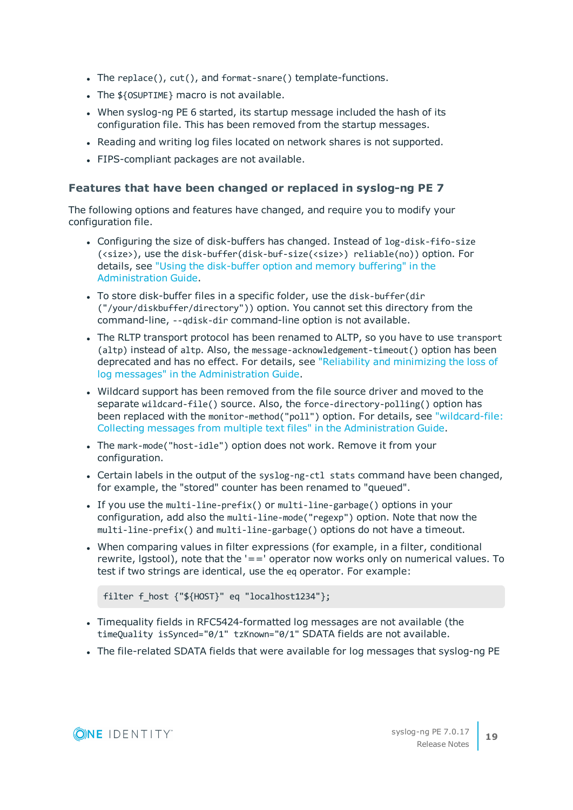- The replace(), cut(), and format-snare() template-functions.
- $\bullet$  The \${0SUPTIME} macro is not available.
- When syslog-ng PE 6 started, its startup message included the hash of its configuration file. This has been removed from the startup messages.
- Reading and writing log files located on network shares is not supported.
- FIPS-compliant packages are not available.

### **Features that have been changed or replaced in syslog-ng PE 7**

The following options and features have changed, and require you to modify your configuration file.

- Configuring the size of disk-buffers has changed. Instead of log-disk-fifo-size (<size>), use the disk-buffer(disk-buf-size(<size>) reliable(no)) option. For details, see "Using the [disk-buffer](https://support.oneidentity.com/technical-documents/syslog-ng-premium-edition/7.0.17/administration-guide/routing-messages-log-paths-flags-and-filters/using-the-disk-buffer-option-and-memory-buffering/) option and memory buffering" in the [Administration](https://support.oneidentity.com/technical-documents/syslog-ng-premium-edition/7.0.17/administration-guide/routing-messages-log-paths-flags-and-filters/using-the-disk-buffer-option-and-memory-buffering/) Guide.
- To store disk-buffer files in a specific folder, use the disk-buffer(dir ("/your/diskbuffer/directory")) option. You cannot set this directory from the command-line, --qdisk-dir command-line option is not available.
- The RLTP transport protocol has been renamed to ALTP, so you have to use transport (altp) instead of altp. Also, the message-acknowledgement-timeout() option has been deprecated and has no effect. For details, see "Reliability and [minimizing](https://support.oneidentity.com/technical-documents/syslog-ng-premium-edition/7.0.17/administration-guide/) the loss of log messages" in the [Administration](https://support.oneidentity.com/technical-documents/syslog-ng-premium-edition/7.0.17/administration-guide/) Guide.
- <sup>l</sup> Wildcard support has been removed from the file source driver and moved to the separate wildcard-file() source. Also, the force-directory-polling() option has been replaced with the monitor-method("poll") option. For details, see ["wildcard-file:](https://support.oneidentity.com/technical-documents/syslog-ng-premium-edition/7.0.17/administration-guide/collecting-log-messages-�-sources-and-source-drivers/wildcard-file-collecting-messages-from-multiple-text-files/) Collecting messages from multiple text files" in the [Administration](https://support.oneidentity.com/technical-documents/syslog-ng-premium-edition/7.0.17/administration-guide/collecting-log-messages-�-sources-and-source-drivers/wildcard-file-collecting-messages-from-multiple-text-files/) Guide.
- The mark-mode("host-idle") option does not work. Remove it from your configuration.
- Certain labels in the output of the syslog-ng-ctl stats command have been changed, for example, the "stored" counter has been renamed to "queued".
- If you use the multi-line-prefix() or multi-line-garbage() options in your configuration, add also the multi-line-mode("regexp") option. Note that now the multi-line-prefix() and multi-line-garbage() options do not have a timeout.
- When comparing values in filter expressions (for example, in a filter, conditional rewrite, lgstool), note that the '==' operator now works only on numerical values. To test if two strings are identical, use the eq operator. For example:

```
filter f host {"${HOST}" eq "localhost1234"};
```
- Timequality fields in RFC5424-formatted log messages are not available (the timeQuality isSynced="0/1" tzKnown="0/1" SDATA fields are not available.
- . The file-related SDATA fields that were available for log messages that syslog-ng PE

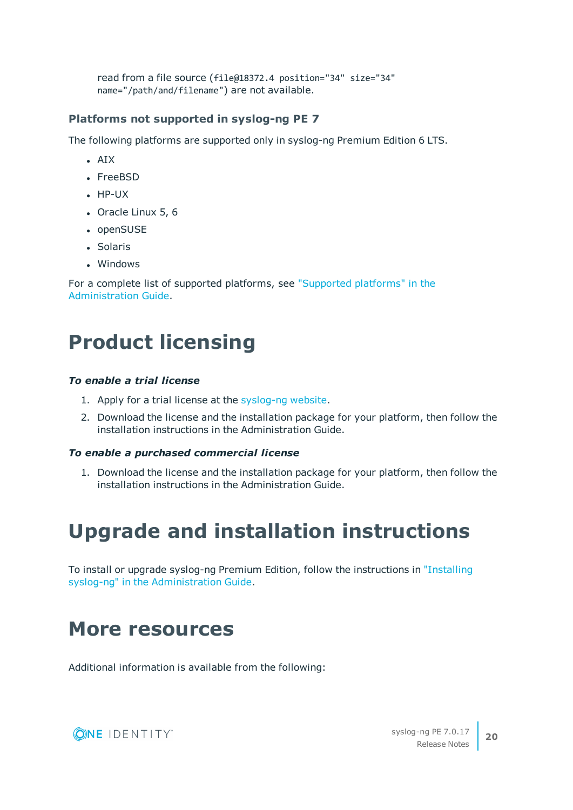read from a file source (file@18372.4 position="34" size="34" name="/path/and/filename") are not available.

#### **Platforms not supported in syslog-ng PE 7**

The following platforms are supported only in syslog-ng Premium Edition 6 LTS.

- <sup>l</sup> AIX
- FreeBSD
- $\cdot$  HP-UX
- Oracle Linux 5, 6
- $\bullet$  openSUSE
- Solaris
- Windows

For a complete list of supported platforms, see ["Supported](https://support.oneidentity.com/technical-documents/syslog-ng-premium-edition/7.0.17/administration-guide/introduction-to-syslog-ng/supported-platforms/) platforms" in the [Administration](https://support.oneidentity.com/technical-documents/syslog-ng-premium-edition/7.0.17/administration-guide/introduction-to-syslog-ng/supported-platforms/) Guide.

# **Product licensing**

#### *To enable a trial license*

- 1. Apply for a trial license at the [syslog-ng](https://syslog-ng.com/) website.
- 2. Download the license and the installation package for your platform, then follow the installation instructions in the Administration Guide.

#### *To enable a purchased commercial license*

1. Download the license and the installation package for your platform, then follow the installation instructions in the Administration Guide.

# **Upgrade and installation instructions**

To install or upgrade syslog-ng Premium Edition, follow the instructions in ["Installing](https://support.oneidentity.com/technical-documents/syslog-ng-premium-edition/7.0.17/administration-guide/) syslog-ng" in the [Administration](https://support.oneidentity.com/technical-documents/syslog-ng-premium-edition/7.0.17/administration-guide/) Guide.

# **More resources**

Additional information is available from the following:

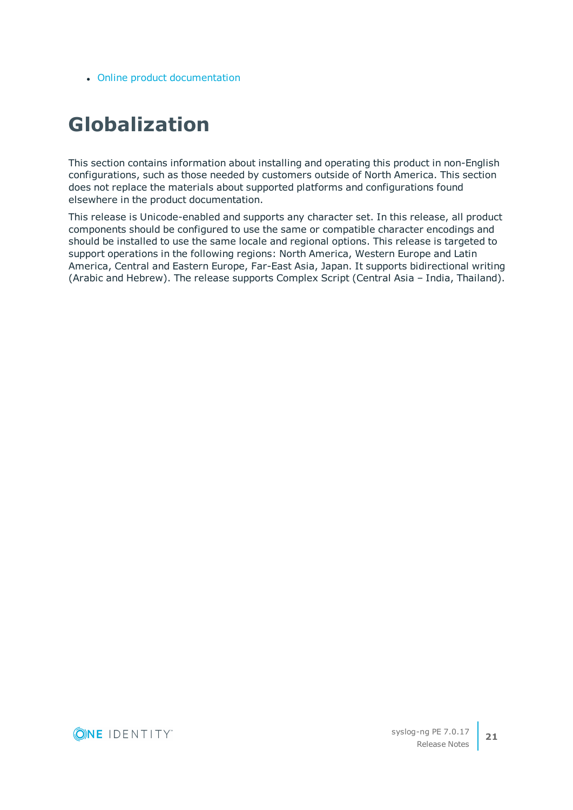• Online product [documentation](https://support.oneidentity.com/technical-documents/syslog-ng-premium-edition)

# **Globalization**

This section contains information about installing and operating this product in non-English configurations, such as those needed by customers outside of North America. This section does not replace the materials about supported platforms and configurations found elsewhere in the product documentation.

This release is Unicode-enabled and supports any character set. In this release, all product components should be configured to use the same or compatible character encodings and should be installed to use the same locale and regional options. This release is targeted to support operations in the following regions: North America, Western Europe and Latin America, Central and Eastern Europe, Far-East Asia, Japan. It supports bidirectional writing (Arabic and Hebrew). The release supports Complex Script (Central Asia – India, Thailand).

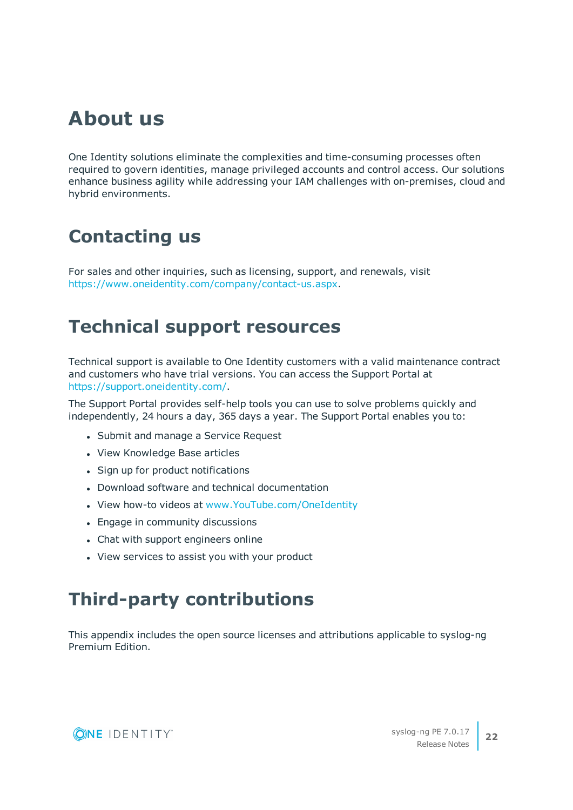# **About us**

One Identity solutions eliminate the complexities and time-consuming processes often required to govern identities, manage privileged accounts and control access. Our solutions enhance business agility while addressing your IAM challenges with on-premises, cloud and hybrid environments.

# **Contacting us**

For sales and other inquiries, such as licensing, support, and renewals, visit <https://www.oneidentity.com/company/contact-us.aspx>.

### **Technical support resources**

Technical support is available to One Identity customers with a valid maintenance contract and customers who have trial versions. You can access the Support Portal at [https://support.oneidentity.com/.](https://support.oneidentity.com/)

The Support Portal provides self-help tools you can use to solve problems quickly and independently, 24 hours a day, 365 days a year. The Support Portal enables you to:

- Submit and manage a Service Request
- View Knowledge Base articles
- Sign up for product notifications
- Download software and technical documentation
- View how-to videos at [www.YouTube.com/OneIdentity](http://www.youtube.com/OneIdentity)
- Engage in community discussions
- Chat with support engineers online
- View services to assist you with your product

### **Third-party contributions**

This appendix includes the open source licenses and attributions applicable to syslog-ng Premium Edition.

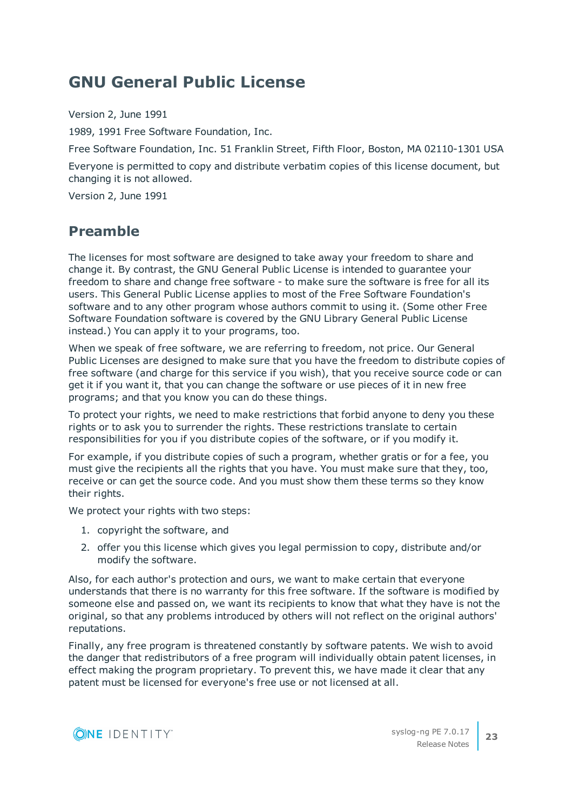### **GNU General Public License**

Version 2, June 1991

1989, 1991 Free Software Foundation, Inc.

Free Software Foundation, Inc. 51 Franklin Street, Fifth Floor, Boston, MA 02110-1301 USA

Everyone is permitted to copy and distribute verbatim copies of this license document, but changing it is not allowed.

Version 2, June 1991

### **Preamble**

The licenses for most software are designed to take away your freedom to share and change it. By contrast, the GNU General Public License is intended to guarantee your freedom to share and change free software - to make sure the software is free for all its users. This General Public License applies to most of the Free Software Foundation's software and to any other program whose authors commit to using it. (Some other Free Software Foundation software is covered by the GNU Library General Public License instead.) You can apply it to your programs, too.

When we speak of free software, we are referring to freedom, not price. Our General Public Licenses are designed to make sure that you have the freedom to distribute copies of free software (and charge for this service if you wish), that you receive source code or can get it if you want it, that you can change the software or use pieces of it in new free programs; and that you know you can do these things.

To protect your rights, we need to make restrictions that forbid anyone to deny you these rights or to ask you to surrender the rights. These restrictions translate to certain responsibilities for you if you distribute copies of the software, or if you modify it.

For example, if you distribute copies of such a program, whether gratis or for a fee, you must give the recipients all the rights that you have. You must make sure that they, too, receive or can get the source code. And you must show them these terms so they know their rights.

We protect your rights with two steps:

- 1. copyright the software, and
- 2. offer you this license which gives you legal permission to copy, distribute and/or modify the software.

Also, for each author's protection and ours, we want to make certain that everyone understands that there is no warranty for this free software. If the software is modified by someone else and passed on, we want its recipients to know that what they have is not the original, so that any problems introduced by others will not reflect on the original authors' reputations.

Finally, any free program is threatened constantly by software patents. We wish to avoid the danger that redistributors of a free program will individually obtain patent licenses, in effect making the program proprietary. To prevent this, we have made it clear that any patent must be licensed for everyone's free use or not licensed at all.

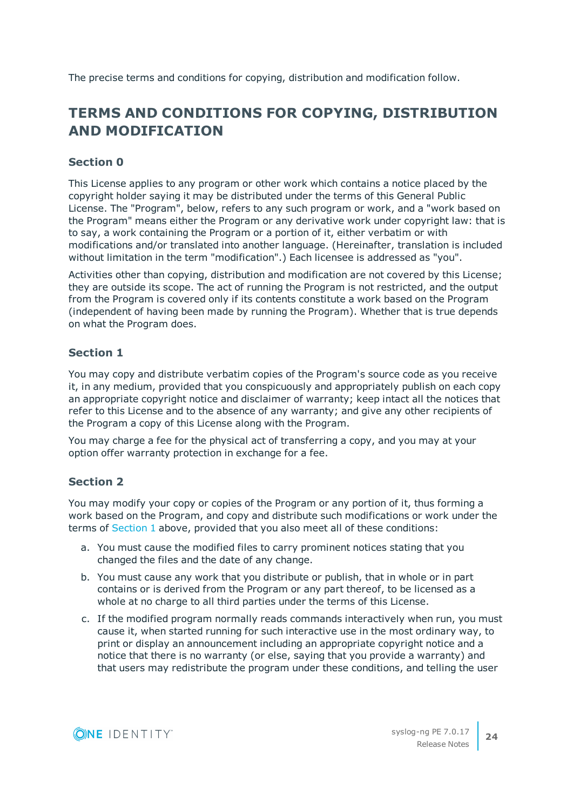The precise terms and conditions for copying, distribution and modification follow.

### **TERMS AND CONDITIONS FOR COPYING, DISTRIBUTION AND MODIFICATION**

### **Section 0**

This License applies to any program or other work which contains a notice placed by the copyright holder saying it may be distributed under the terms of this General Public License. The "Program", below, refers to any such program or work, and a "work based on the Program" means either the Program or any derivative work under copyright law: that is to say, a work containing the Program or a portion of it, either verbatim or with modifications and/or translated into another language. (Hereinafter, translation is included without limitation in the term "modification".) Each licensee is addressed as "you".

Activities other than copying, distribution and modification are not covered by this License; they are outside its scope. The act of running the Program is not restricted, and the output from the Program is covered only if its contents constitute a work based on the Program (independent of having been made by running the Program). Whether that is true depends on what the Program does.

#### <span id="page-23-0"></span>**Section 1**

You may copy and distribute verbatim copies of the Program's source code as you receive it, in any medium, provided that you conspicuously and appropriately publish on each copy an appropriate copyright notice and disclaimer of warranty; keep intact all the notices that refer to this License and to the absence of any warranty; and give any other recipients of the Program a copy of this License along with the Program.

You may charge a fee for the physical act of transferring a copy, and you may at your option offer warranty protection in exchange for a fee.

#### <span id="page-23-1"></span>**Section 2**

You may modify your copy or copies of the Program or any portion of it, thus forming a work based on the Program, and copy and distribute such modifications or work under the terms of [Section](#page-23-0) 1 above, provided that you also meet all of these conditions:

- a. You must cause the modified files to carry prominent notices stating that you changed the files and the date of any change.
- b. You must cause any work that you distribute or publish, that in whole or in part contains or is derived from the Program or any part thereof, to be licensed as a whole at no charge to all third parties under the terms of this License.
- c. If the modified program normally reads commands interactively when run, you must cause it, when started running for such interactive use in the most ordinary way, to print or display an announcement including an appropriate copyright notice and a notice that there is no warranty (or else, saying that you provide a warranty) and that users may redistribute the program under these conditions, and telling the user

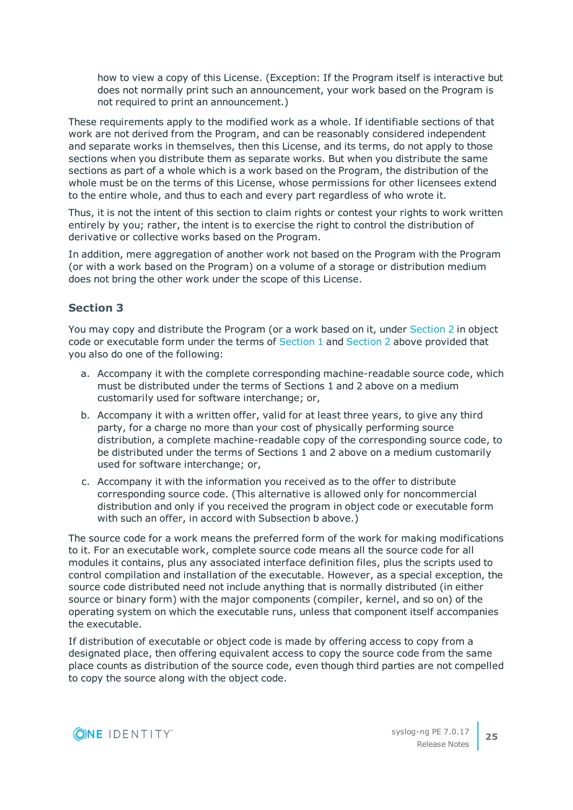how to view a copy of this License. (Exception: If the Program itself is interactive but does not normally print such an announcement, your work based on the Program is not required to print an announcement.)

These requirements apply to the modified work as a whole. If identifiable sections of that work are not derived from the Program, and can be reasonably considered independent and separate works in themselves, then this License, and its terms, do not apply to those sections when you distribute them as separate works. But when you distribute the same sections as part of a whole which is a work based on the Program, the distribution of the whole must be on the terms of this License, whose permissions for other licensees extend to the entire whole, and thus to each and every part regardless of who wrote it.

Thus, it is not the intent of this section to claim rights or contest your rights to work written entirely by you; rather, the intent is to exercise the right to control the distribution of derivative or collective works based on the Program.

In addition, mere aggregation of another work not based on the Program with the Program (or with a work based on the Program) on a volume of a storage or distribution medium does not bring the other work under the scope of this License.

#### **Section 3**

You may copy and distribute the Program (or a work based on it, under [Section](#page-23-1) 2 in object code or executable form under the terms of [Section](#page-23-0) 1 and [Section](#page-23-1) 2 above provided that you also do one of the following:

- a. Accompany it with the complete corresponding machine-readable source code, which must be distributed under the terms of Sections 1 and 2 above on a medium customarily used for software interchange; or,
- b. Accompany it with a written offer, valid for at least three years, to give any third party, for a charge no more than your cost of physically performing source distribution, a complete machine-readable copy of the corresponding source code, to be distributed under the terms of Sections 1 and 2 above on a medium customarily used for software interchange; or,
- c. Accompany it with the information you received as to the offer to distribute corresponding source code. (This alternative is allowed only for noncommercial distribution and only if you received the program in object code or executable form with such an offer, in accord with Subsection b above.)

The source code for a work means the preferred form of the work for making modifications to it. For an executable work, complete source code means all the source code for all modules it contains, plus any associated interface definition files, plus the scripts used to control compilation and installation of the executable. However, as a special exception, the source code distributed need not include anything that is normally distributed (in either source or binary form) with the major components (compiler, kernel, and so on) of the operating system on which the executable runs, unless that component itself accompanies the executable.

If distribution of executable or object code is made by offering access to copy from a designated place, then offering equivalent access to copy the source code from the same place counts as distribution of the source code, even though third parties are not compelled to copy the source along with the object code.

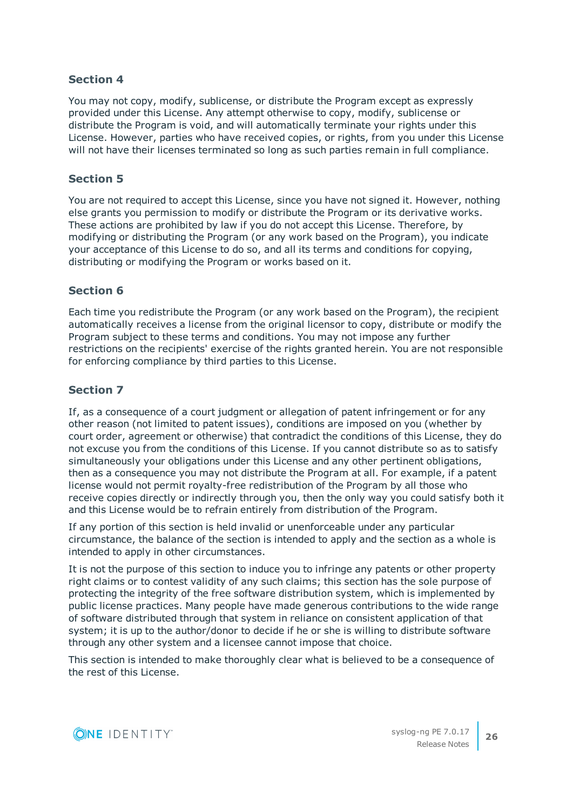#### **Section 4**

You may not copy, modify, sublicense, or distribute the Program except as expressly provided under this License. Any attempt otherwise to copy, modify, sublicense or distribute the Program is void, and will automatically terminate your rights under this License. However, parties who have received copies, or rights, from you under this License will not have their licenses terminated so long as such parties remain in full compliance.

#### **Section 5**

You are not required to accept this License, since you have not signed it. However, nothing else grants you permission to modify or distribute the Program or its derivative works. These actions are prohibited by law if you do not accept this License. Therefore, by modifying or distributing the Program (or any work based on the Program), you indicate your acceptance of this License to do so, and all its terms and conditions for copying, distributing or modifying the Program or works based on it.

#### **Section 6**

Each time you redistribute the Program (or any work based on the Program), the recipient automatically receives a license from the original licensor to copy, distribute or modify the Program subject to these terms and conditions. You may not impose any further restrictions on the recipients' exercise of the rights granted herein. You are not responsible for enforcing compliance by third parties to this License.

#### **Section 7**

If, as a consequence of a court judgment or allegation of patent infringement or for any other reason (not limited to patent issues), conditions are imposed on you (whether by court order, agreement or otherwise) that contradict the conditions of this License, they do not excuse you from the conditions of this License. If you cannot distribute so as to satisfy simultaneously your obligations under this License and any other pertinent obligations, then as a consequence you may not distribute the Program at all. For example, if a patent license would not permit royalty-free redistribution of the Program by all those who receive copies directly or indirectly through you, then the only way you could satisfy both it and this License would be to refrain entirely from distribution of the Program.

If any portion of this section is held invalid or unenforceable under any particular circumstance, the balance of the section is intended to apply and the section as a whole is intended to apply in other circumstances.

It is not the purpose of this section to induce you to infringe any patents or other property right claims or to contest validity of any such claims; this section has the sole purpose of protecting the integrity of the free software distribution system, which is implemented by public license practices. Many people have made generous contributions to the wide range of software distributed through that system in reliance on consistent application of that system; it is up to the author/donor to decide if he or she is willing to distribute software through any other system and a licensee cannot impose that choice.

This section is intended to make thoroughly clear what is believed to be a consequence of the rest of this License.

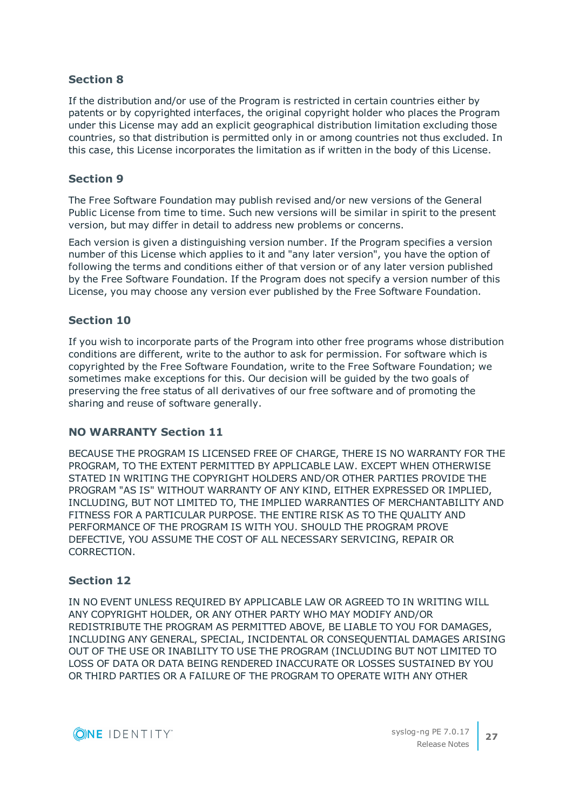#### **Section 8**

If the distribution and/or use of the Program is restricted in certain countries either by patents or by copyrighted interfaces, the original copyright holder who places the Program under this License may add an explicit geographical distribution limitation excluding those countries, so that distribution is permitted only in or among countries not thus excluded. In this case, this License incorporates the limitation as if written in the body of this License.

#### **Section 9**

The Free Software Foundation may publish revised and/or new versions of the General Public License from time to time. Such new versions will be similar in spirit to the present version, but may differ in detail to address new problems or concerns.

Each version is given a distinguishing version number. If the Program specifies a version number of this License which applies to it and "any later version", you have the option of following the terms and conditions either of that version or of any later version published by the Free Software Foundation. If the Program does not specify a version number of this License, you may choose any version ever published by the Free Software Foundation.

#### **Section 10**

If you wish to incorporate parts of the Program into other free programs whose distribution conditions are different, write to the author to ask for permission. For software which is copyrighted by the Free Software Foundation, write to the Free Software Foundation; we sometimes make exceptions for this. Our decision will be guided by the two goals of preserving the free status of all derivatives of our free software and of promoting the sharing and reuse of software generally.

#### **NO WARRANTY Section 11**

BECAUSE THE PROGRAM IS LICENSED FREE OF CHARGE, THERE IS NO WARRANTY FOR THE PROGRAM, TO THE EXTENT PERMITTED BY APPLICABLE LAW. EXCEPT WHEN OTHERWISE STATED IN WRITING THE COPYRIGHT HOLDERS AND/OR OTHER PARTIES PROVIDE THE PROGRAM "AS IS" WITHOUT WARRANTY OF ANY KIND, EITHER EXPRESSED OR IMPLIED, INCLUDING, BUT NOT LIMITED TO, THE IMPLIED WARRANTIES OF MERCHANTABILITY AND FITNESS FOR A PARTICULAR PURPOSE. THE ENTIRE RISK AS TO THE QUALITY AND PERFORMANCE OF THE PROGRAM IS WITH YOU. SHOULD THE PROGRAM PROVE DEFECTIVE, YOU ASSUME THE COST OF ALL NECESSARY SERVICING, REPAIR OR CORRECTION.

#### **Section 12**

IN NO EVENT UNLESS REQUIRED BY APPLICABLE LAW OR AGREED TO IN WRITING WILL ANY COPYRIGHT HOLDER, OR ANY OTHER PARTY WHO MAY MODIFY AND/OR REDISTRIBUTE THE PROGRAM AS PERMITTED ABOVE, BE LIABLE TO YOU FOR DAMAGES, INCLUDING ANY GENERAL, SPECIAL, INCIDENTAL OR CONSEQUENTIAL DAMAGES ARISING OUT OF THE USE OR INABILITY TO USE THE PROGRAM (INCLUDING BUT NOT LIMITED TO LOSS OF DATA OR DATA BEING RENDERED INACCURATE OR LOSSES SUSTAINED BY YOU OR THIRD PARTIES OR A FAILURE OF THE PROGRAM TO OPERATE WITH ANY OTHER

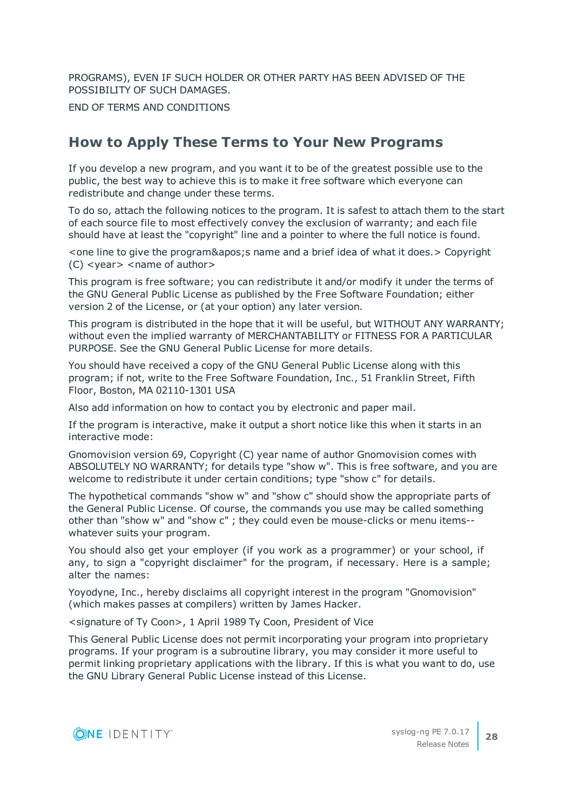PROGRAMS), EVEN IF SUCH HOLDER OR OTHER PARTY HAS BEEN ADVISED OF THE POSSIBILITY OF SUCH DAMAGES.

END OF TERMS AND CONDITIONS

### **How to Apply These Terms to Your New Programs**

If you develop a new program, and you want it to be of the greatest possible use to the public, the best way to achieve this is to make it free software which everyone can redistribute and change under these terms.

To do so, attach the following notices to the program. It is safest to attach them to the start of each source file to most effectively convey the exclusion of warranty; and each file should have at least the "copyright" line and a pointer to where the full notice is found.

<one line to give the program&apos; name and a brief idea of what it does. > Copyright (C) <year> <name of author>

This program is free software; you can redistribute it and/or modify it under the terms of the GNU General Public License as published by the Free Software Foundation; either version 2 of the License, or (at your option) any later version.

This program is distributed in the hope that it will be useful, but WITHOUT ANY WARRANTY; without even the implied warranty of MERCHANTABILITY or FITNESS FOR A PARTICULAR PURPOSE. See the GNU General Public License for more details.

You should have received a copy of the GNU General Public License along with this program; if not, write to the Free Software Foundation, Inc., 51 Franklin Street, Fifth Floor, Boston, MA 02110-1301 USA

Also add information on how to contact you by electronic and paper mail.

If the program is interactive, make it output a short notice like this when it starts in an interactive mode:

Gnomovision version 69, Copyright (C) year name of author Gnomovision comes with ABSOLUTELY NO WARRANTY; for details type "show w". This is free software, and you are welcome to redistribute it under certain conditions; type "show c" for details.

The hypothetical commands "show w" and "show c" should show the appropriate parts of the General Public License. Of course, the commands you use may be called something other than "show w" and "show c" ; they could even be mouse-clicks or menu items- whatever suits your program.

You should also get your employer (if you work as a programmer) or your school, if any, to sign a "copyright disclaimer" for the program, if necessary. Here is a sample; alter the names:

Yoyodyne, Inc., hereby disclaims all copyright interest in the program "Gnomovision" (which makes passes at compilers) written by James Hacker.

<signature of Ty Coon>, 1 April 1989 Ty Coon, President of Vice

This General Public License does not permit incorporating your program into proprietary programs. If your program is a subroutine library, you may consider it more useful to permit linking proprietary applications with the library. If this is what you want to do, use the GNU Library General Public License instead of this License.

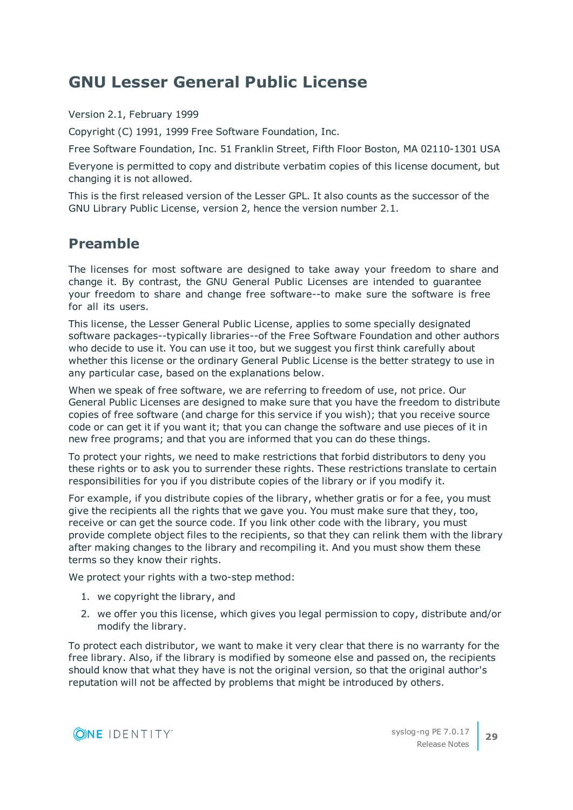### **GNU Lesser General Public License**

Version 2.1, February 1999

Copyright (C) 1991, 1999 Free Software Foundation, Inc.

Free Software Foundation, Inc. 51 Franklin Street, Fifth Floor Boston, MA 02110-1301 USA

Everyone is permitted to copy and distribute verbatim copies of this license document, but changing it is not allowed.

This is the first released version of the Lesser GPL. It also counts as the successor of the GNU Library Public License, version 2, hence the version number 2.1.

### **Preamble**

The licenses for most software are designed to take away your freedom to share and change it. By contrast, the GNU General Public Licenses are intended to guarantee your freedom to share and change free software--to make sure the software is free for all its users.

This license, the Lesser General Public License, applies to some specially designated software packages--typically libraries--of the Free Software Foundation and other authors who decide to use it. You can use it too, but we suggest you first think carefully about whether this license or the ordinary General Public License is the better strategy to use in any particular case, based on the explanations below.

When we speak of free software, we are referring to freedom of use, not price. Our General Public Licenses are designed to make sure that you have the freedom to distribute copies of free software (and charge for this service if you wish); that you receive source code or can get it if you want it; that you can change the software and use pieces of it in new free programs; and that you are informed that you can do these things.

To protect your rights, we need to make restrictions that forbid distributors to deny you these rights or to ask you to surrender these rights. These restrictions translate to certain responsibilities for you if you distribute copies of the library or if you modify it.

For example, if you distribute copies of the library, whether gratis or for a fee, you must give the recipients all the rights that we gave you. You must make sure that they, too, receive or can get the source code. If you link other code with the library, you must provide complete object files to the recipients, so that they can relink them with the library after making changes to the library and recompiling it. And you must show them these terms so they know their rights.

We protect your rights with a two-step method:

- 1. we copyright the library, and
- 2. we offer you this license, which gives you legal permission to copy, distribute and/or modify the library.

To protect each distributor, we want to make it very clear that there is no warranty for the free library. Also, if the library is modified by someone else and passed on, the recipients should know that what they have is not the original version, so that the original author's reputation will not be affected by problems that might be introduced by others.

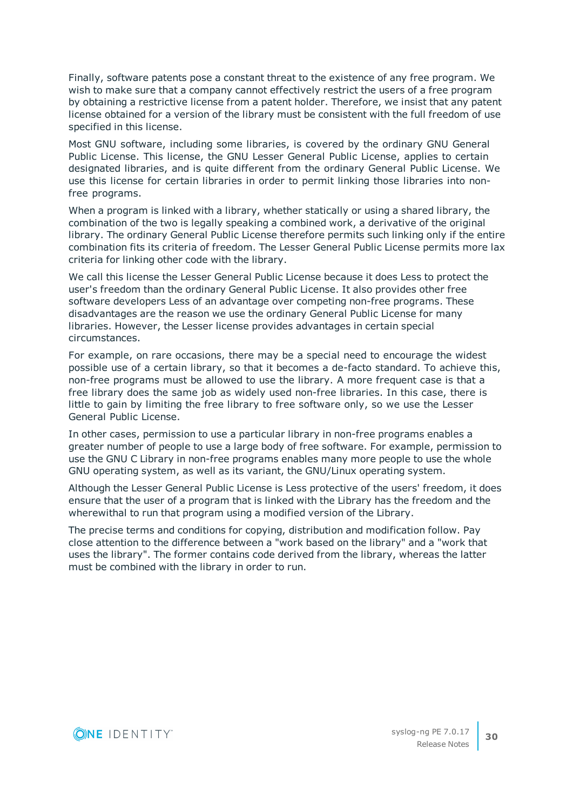Finally, software patents pose a constant threat to the existence of any free program. We wish to make sure that a company cannot effectively restrict the users of a free program by obtaining a restrictive license from a patent holder. Therefore, we insist that any patent license obtained for a version of the library must be consistent with the full freedom of use specified in this license.

Most GNU software, including some libraries, is covered by the ordinary GNU General Public License. This license, the GNU Lesser General Public License, applies to certain designated libraries, and is quite different from the ordinary General Public License. We use this license for certain libraries in order to permit linking those libraries into nonfree programs.

When a program is linked with a library, whether statically or using a shared library, the combination of the two is legally speaking a combined work, a derivative of the original library. The ordinary General Public License therefore permits such linking only if the entire combination fits its criteria of freedom. The Lesser General Public License permits more lax criteria for linking other code with the library.

We call this license the Lesser General Public License because it does Less to protect the user's freedom than the ordinary General Public License. It also provides other free software developers Less of an advantage over competing non-free programs. These disadvantages are the reason we use the ordinary General Public License for many libraries. However, the Lesser license provides advantages in certain special circumstances.

For example, on rare occasions, there may be a special need to encourage the widest possible use of a certain library, so that it becomes a de-facto standard. To achieve this, non-free programs must be allowed to use the library. A more frequent case is that a free library does the same job as widely used non-free libraries. In this case, there is little to gain by limiting the free library to free software only, so we use the Lesser General Public License.

In other cases, permission to use a particular library in non-free programs enables a greater number of people to use a large body of free software. For example, permission to use the GNU C Library in non-free programs enables many more people to use the whole GNU operating system, as well as its variant, the GNU/Linux operating system.

Although the Lesser General Public License is Less protective of the users' freedom, it does ensure that the user of a program that is linked with the Library has the freedom and the wherewithal to run that program using a modified version of the Library.

The precise terms and conditions for copying, distribution and modification follow. Pay close attention to the difference between a "work based on the library" and a "work that uses the library". The former contains code derived from the library, whereas the latter must be combined with the library in order to run.

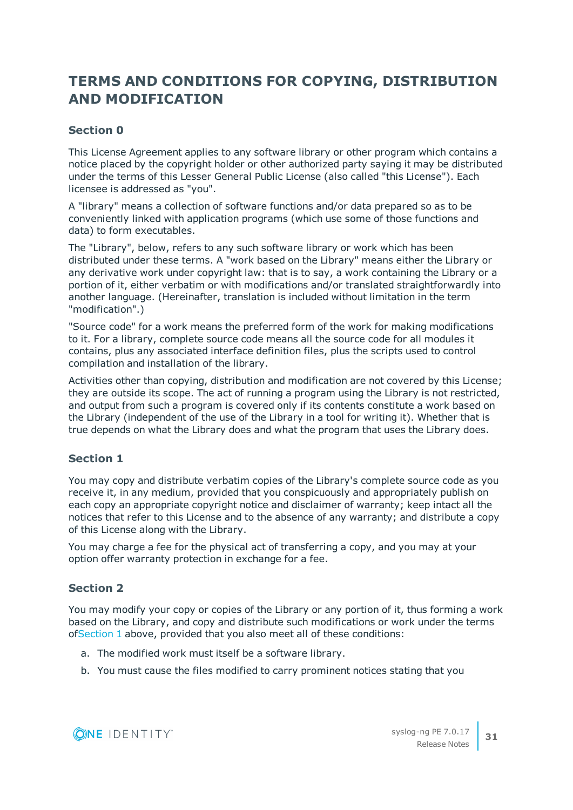### **TERMS AND CONDITIONS FOR COPYING, DISTRIBUTION AND MODIFICATION**

### **Section 0**

This License Agreement applies to any software library or other program which contains a notice placed by the copyright holder or other authorized party saying it may be distributed under the terms of this Lesser General Public License (also called "this License"). Each licensee is addressed as "you".

A "library" means a collection of software functions and/or data prepared so as to be conveniently linked with application programs (which use some of those functions and data) to form executables.

The "Library", below, refers to any such software library or work which has been distributed under these terms. A "work based on the Library" means either the Library or any derivative work under copyright law: that is to say, a work containing the Library or a portion of it, either verbatim or with modifications and/or translated straightforwardly into another language. (Hereinafter, translation is included without limitation in the term "modification".)

"Source code" for a work means the preferred form of the work for making modifications to it. For a library, complete source code means all the source code for all modules it contains, plus any associated interface definition files, plus the scripts used to control compilation and installation of the library.

Activities other than copying, distribution and modification are not covered by this License; they are outside its scope. The act of running a program using the Library is not restricted, and output from such a program is covered only if its contents constitute a work based on the Library (independent of the use of the Library in a tool for writing it). Whether that is true depends on what the Library does and what the program that uses the Library does.

### <span id="page-30-0"></span>**Section 1**

You may copy and distribute verbatim copies of the Library's complete source code as you receive it, in any medium, provided that you conspicuously and appropriately publish on each copy an appropriate copyright notice and disclaimer of warranty; keep intact all the notices that refer to this License and to the absence of any warranty; and distribute a copy of this License along with the Library.

You may charge a fee for the physical act of transferring a copy, and you may at your option offer warranty protection in exchange for a fee.

### <span id="page-30-1"></span>**Section 2**

You may modify your copy or copies of the Library or any portion of it, thus forming a work based on the Library, and copy and distribute such modifications or work under the terms of[Section](#page-30-0) 1 above, provided that you also meet all of these conditions:

- a. The modified work must itself be a software library.
- b. You must cause the files modified to carry prominent notices stating that you

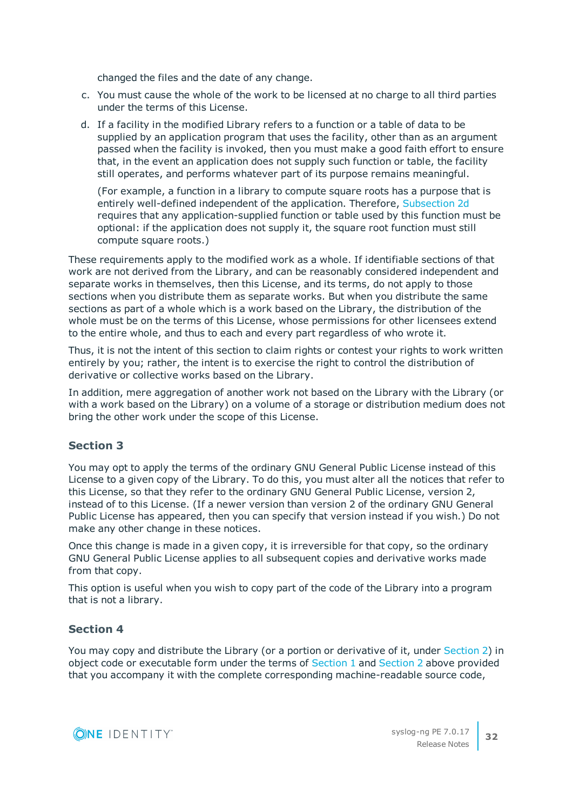changed the files and the date of any change.

- c. You must cause the whole of the work to be licensed at no charge to all third parties under the terms of this License.
- <span id="page-31-0"></span>d. If a facility in the modified Library refers to a function or a table of data to be supplied by an application program that uses the facility, other than as an argument passed when the facility is invoked, then you must make a good faith effort to ensure that, in the event an application does not supply such function or table, the facility still operates, and performs whatever part of its purpose remains meaningful.

(For example, a function in a library to compute square roots has a purpose that is entirely well-defined independent of the application. Therefore, [Subsection](#page-31-0) 2d requires that any application-supplied function or table used by this function must be optional: if the application does not supply it, the square root function must still compute square roots.)

These requirements apply to the modified work as a whole. If identifiable sections of that work are not derived from the Library, and can be reasonably considered independent and separate works in themselves, then this License, and its terms, do not apply to those sections when you distribute them as separate works. But when you distribute the same sections as part of a whole which is a work based on the Library, the distribution of the whole must be on the terms of this License, whose permissions for other licensees extend to the entire whole, and thus to each and every part regardless of who wrote it.

Thus, it is not the intent of this section to claim rights or contest your rights to work written entirely by you; rather, the intent is to exercise the right to control the distribution of derivative or collective works based on the Library.

In addition, mere aggregation of another work not based on the Library with the Library (or with a work based on the Library) on a volume of a storage or distribution medium does not bring the other work under the scope of this License.

### **Section 3**

You may opt to apply the terms of the ordinary GNU General Public License instead of this License to a given copy of the Library. To do this, you must alter all the notices that refer to this License, so that they refer to the ordinary GNU General Public License, version 2, instead of to this License. (If a newer version than version 2 of the ordinary GNU General Public License has appeared, then you can specify that version instead if you wish.) Do not make any other change in these notices.

Once this change is made in a given copy, it is irreversible for that copy, so the ordinary GNU General Public License applies to all subsequent copies and derivative works made from that copy.

This option is useful when you wish to copy part of the code of the Library into a program that is not a library.

### **Section 4**

You may copy and distribute the Library (or a portion or derivative of it, under [Section](#page-30-1) 2) in object code or executable form under the terms of [Section](#page-30-1)  $1$  and Section  $2$  above provided that you accompany it with the complete corresponding machine-readable source code,

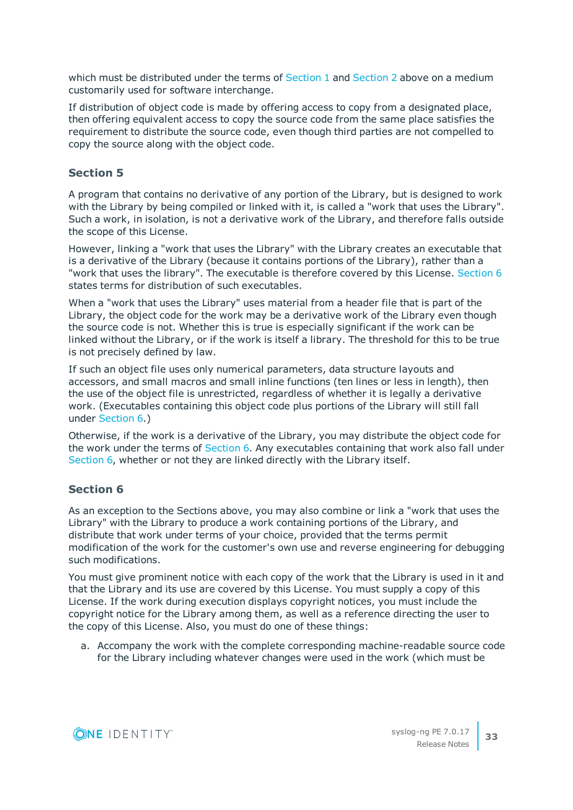which must be distributed under the terms of [Section](#page-30-1) 1 and Section 2 above on a medium customarily used for software interchange.

If distribution of object code is made by offering access to copy from a designated place, then offering equivalent access to copy the source code from the same place satisfies the requirement to distribute the source code, even though third parties are not compelled to copy the source along with the object code.

#### **Section 5**

A program that contains no derivative of any portion of the Library, but is designed to work with the Library by being compiled or linked with it, is called a "work that uses the Library". Such a work, in isolation, is not a derivative work of the Library, and therefore falls outside the scope of this License.

However, linking a "work that uses the Library" with the Library creates an executable that is a derivative of the Library (because it contains portions of the Library), rather than a "work that uses the library". The executable is therefore covered by this License. [Section](#page-32-0) 6 states terms for distribution of such executables.

When a "work that uses the Library" uses material from a header file that is part of the Library, the object code for the work may be a derivative work of the Library even though the source code is not. Whether this is true is especially significant if the work can be linked without the Library, or if the work is itself a library. The threshold for this to be true is not precisely defined by law.

If such an object file uses only numerical parameters, data structure layouts and accessors, and small macros and small inline functions (ten lines or less in length), then the use of the object file is unrestricted, regardless of whether it is legally a derivative work. (Executables containing this object code plus portions of the Library will still fall under [Section](#page-32-0) 6.)

Otherwise, if the work is a derivative of the Library, you may distribute the object code for the work under the terms of [Section](#page-32-0) 6. Any executables containing that work also fall under [Section](#page-32-0) 6, whether or not they are linked directly with the Library itself.

### <span id="page-32-0"></span>**Section 6**

As an exception to the Sections above, you may also combine or link a "work that uses the Library" with the Library to produce a work containing portions of the Library, and distribute that work under terms of your choice, provided that the terms permit modification of the work for the customer's own use and reverse engineering for debugging such modifications.

You must give prominent notice with each copy of the work that the Library is used in it and that the Library and its use are covered by this License. You must supply a copy of this License. If the work during execution displays copyright notices, you must include the copyright notice for the Library among them, as well as a reference directing the user to the copy of this License. Also, you must do one of these things:

<span id="page-32-1"></span>a. Accompany the work with the complete corresponding machine-readable source code for the Library including whatever changes were used in the work (which must be

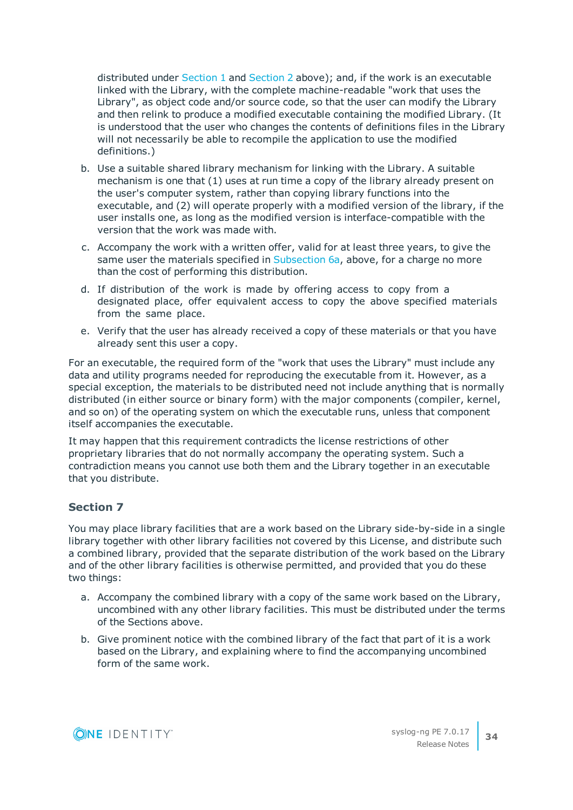distributed under [Section](#page-30-0) 1 and [Section](#page-30-1) 2 above); and, if the work is an executable linked with the Library, with the complete machine-readable "work that uses the Library", as object code and/or source code, so that the user can modify the Library and then relink to produce a modified executable containing the modified Library. (It is understood that the user who changes the contents of definitions files in the Library will not necessarily be able to recompile the application to use the modified definitions.)

- b. Use a suitable shared library mechanism for linking with the Library. A suitable mechanism is one that (1) uses at run time a copy of the library already present on the user's computer system, rather than copying library functions into the executable, and (2) will operate properly with a modified version of the library, if the user installs one, as long as the modified version is interface-compatible with the version that the work was made with.
- c. Accompany the work with a written offer, valid for at least three years, to give the same user the materials specified in [Subsection](#page-32-1) 6a, above, for a charge no more than the cost of performing this distribution.
- d. If distribution of the work is made by offering access to copy from a designated place, offer equivalent access to copy the above specified materials from the same place.
- e. Verify that the user has already received a copy of these materials or that you have already sent this user a copy.

For an executable, the required form of the "work that uses the Library" must include any data and utility programs needed for reproducing the executable from it. However, as a special exception, the materials to be distributed need not include anything that is normally distributed (in either source or binary form) with the major components (compiler, kernel, and so on) of the operating system on which the executable runs, unless that component itself accompanies the executable.

It may happen that this requirement contradicts the license restrictions of other proprietary libraries that do not normally accompany the operating system. Such a contradiction means you cannot use both them and the Library together in an executable that you distribute.

### **Section 7**

You may place library facilities that are a work based on the Library side-by-side in a single library together with other library facilities not covered by this License, and distribute such a combined library, provided that the separate distribution of the work based on the Library and of the other library facilities is otherwise permitted, and provided that you do these two things:

- a. Accompany the combined library with a copy of the same work based on the Library, uncombined with any other library facilities. This must be distributed under the terms of the Sections above.
- b. Give prominent notice with the combined library of the fact that part of it is a work based on the Library, and explaining where to find the accompanying uncombined form of the same work.

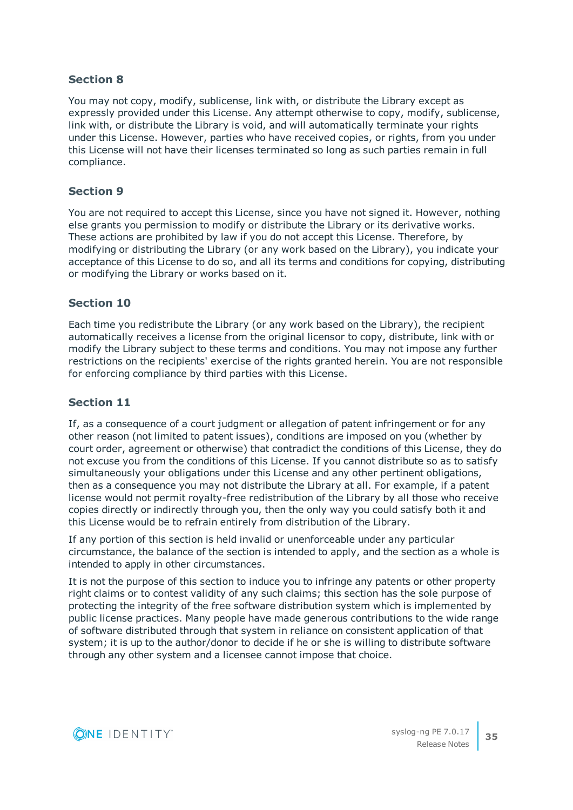#### **Section 8**

You may not copy, modify, sublicense, link with, or distribute the Library except as expressly provided under this License. Any attempt otherwise to copy, modify, sublicense, link with, or distribute the Library is void, and will automatically terminate your rights under this License. However, parties who have received copies, or rights, from you under this License will not have their licenses terminated so long as such parties remain in full compliance.

#### **Section 9**

You are not required to accept this License, since you have not signed it. However, nothing else grants you permission to modify or distribute the Library or its derivative works. These actions are prohibited by law if you do not accept this License. Therefore, by modifying or distributing the Library (or any work based on the Library), you indicate your acceptance of this License to do so, and all its terms and conditions for copying, distributing or modifying the Library or works based on it.

#### **Section 10**

Each time you redistribute the Library (or any work based on the Library), the recipient automatically receives a license from the original licensor to copy, distribute, link with or modify the Library subject to these terms and conditions. You may not impose any further restrictions on the recipients' exercise of the rights granted herein. You are not responsible for enforcing compliance by third parties with this License.

#### **Section 11**

If, as a consequence of a court judgment or allegation of patent infringement or for any other reason (not limited to patent issues), conditions are imposed on you (whether by court order, agreement or otherwise) that contradict the conditions of this License, they do not excuse you from the conditions of this License. If you cannot distribute so as to satisfy simultaneously your obligations under this License and any other pertinent obligations, then as a consequence you may not distribute the Library at all. For example, if a patent license would not permit royalty-free redistribution of the Library by all those who receive copies directly or indirectly through you, then the only way you could satisfy both it and this License would be to refrain entirely from distribution of the Library.

If any portion of this section is held invalid or unenforceable under any particular circumstance, the balance of the section is intended to apply, and the section as a whole is intended to apply in other circumstances.

It is not the purpose of this section to induce you to infringe any patents or other property right claims or to contest validity of any such claims; this section has the sole purpose of protecting the integrity of the free software distribution system which is implemented by public license practices. Many people have made generous contributions to the wide range of software distributed through that system in reliance on consistent application of that system; it is up to the author/donor to decide if he or she is willing to distribute software through any other system and a licensee cannot impose that choice.

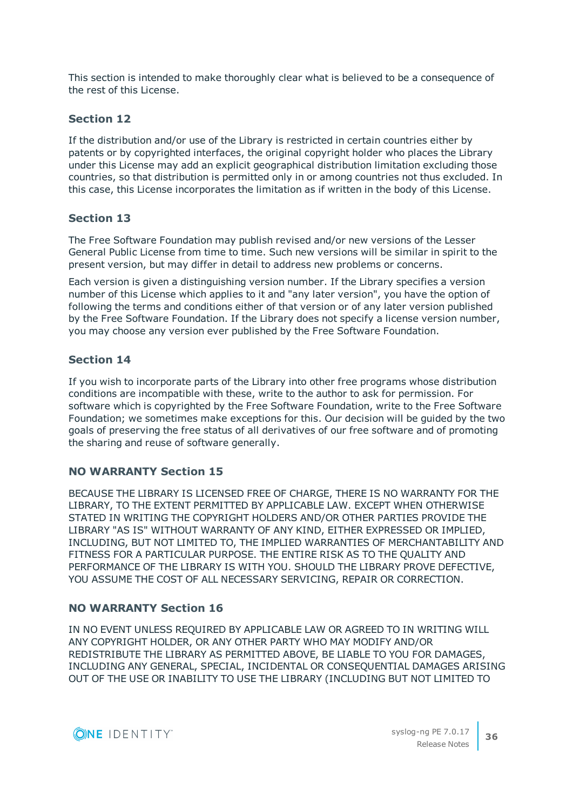This section is intended to make thoroughly clear what is believed to be a consequence of the rest of this License.

#### **Section 12**

If the distribution and/or use of the Library is restricted in certain countries either by patents or by copyrighted interfaces, the original copyright holder who places the Library under this License may add an explicit geographical distribution limitation excluding those countries, so that distribution is permitted only in or among countries not thus excluded. In this case, this License incorporates the limitation as if written in the body of this License.

### **Section 13**

The Free Software Foundation may publish revised and/or new versions of the Lesser General Public License from time to time. Such new versions will be similar in spirit to the present version, but may differ in detail to address new problems or concerns.

Each version is given a distinguishing version number. If the Library specifies a version number of this License which applies to it and "any later version", you have the option of following the terms and conditions either of that version or of any later version published by the Free Software Foundation. If the Library does not specify a license version number, you may choose any version ever published by the Free Software Foundation.

#### **Section 14**

If you wish to incorporate parts of the Library into other free programs whose distribution conditions are incompatible with these, write to the author to ask for permission. For software which is copyrighted by the Free Software Foundation, write to the Free Software Foundation; we sometimes make exceptions for this. Our decision will be guided by the two goals of preserving the free status of all derivatives of our free software and of promoting the sharing and reuse of software generally.

#### **NO WARRANTY Section 15**

BECAUSE THE LIBRARY IS LICENSED FREE OF CHARGE, THERE IS NO WARRANTY FOR THE LIBRARY, TO THE EXTENT PERMITTED BY APPLICABLE LAW. EXCEPT WHEN OTHERWISE STATED IN WRITING THE COPYRIGHT HOLDERS AND/OR OTHER PARTIES PROVIDE THE LIBRARY "AS IS" WITHOUT WARRANTY OF ANY KIND, EITHER EXPRESSED OR IMPLIED, INCLUDING, BUT NOT LIMITED TO, THE IMPLIED WARRANTIES OF MERCHANTABILITY AND FITNESS FOR A PARTICULAR PURPOSE. THE ENTIRE RISK AS TO THE QUALITY AND PERFORMANCE OF THE LIBRARY IS WITH YOU. SHOULD THE LIBRARY PROVE DEFECTIVE, YOU ASSUME THE COST OF ALL NECESSARY SERVICING, REPAIR OR CORRECTION.

### **NO WARRANTY Section 16**

IN NO EVENT UNLESS REQUIRED BY APPLICABLE LAW OR AGREED TO IN WRITING WILL ANY COPYRIGHT HOLDER, OR ANY OTHER PARTY WHO MAY MODIFY AND/OR REDISTRIBUTE THE LIBRARY AS PERMITTED ABOVE, BE LIABLE TO YOU FOR DAMAGES, INCLUDING ANY GENERAL, SPECIAL, INCIDENTAL OR CONSEQUENTIAL DAMAGES ARISING OUT OF THE USE OR INABILITY TO USE THE LIBRARY (INCLUDING BUT NOT LIMITED TO

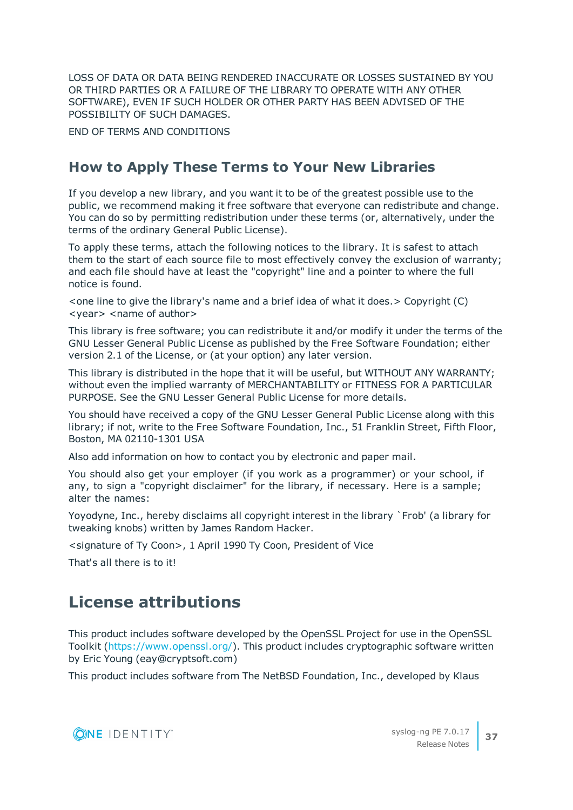LOSS OF DATA OR DATA BEING RENDERED INACCURATE OR LOSSES SUSTAINED BY YOU OR THIRD PARTIES OR A FAILURE OF THE LIBRARY TO OPERATE WITH ANY OTHER SOFTWARE), EVEN IF SUCH HOLDER OR OTHER PARTY HAS BEEN ADVISED OF THE POSSIBILITY OF SUCH DAMAGES.

END OF TERMS AND CONDITIONS

### **How to Apply These Terms to Your New Libraries**

If you develop a new library, and you want it to be of the greatest possible use to the public, we recommend making it free software that everyone can redistribute and change. You can do so by permitting redistribution under these terms (or, alternatively, under the terms of the ordinary General Public License).

To apply these terms, attach the following notices to the library. It is safest to attach them to the start of each source file to most effectively convey the exclusion of warranty; and each file should have at least the "copyright" line and a pointer to where the full notice is found.

 $\le$  one line to give the library's name and a brief idea of what it does.  $>$  Copyright (C) <year> <name of author>

This library is free software; you can redistribute it and/or modify it under the terms of the GNU Lesser General Public License as published by the Free Software Foundation; either version 2.1 of the License, or (at your option) any later version.

This library is distributed in the hope that it will be useful, but WITHOUT ANY WARRANTY; without even the implied warranty of MERCHANTABILITY or FITNESS FOR A PARTICULAR PURPOSE. See the GNU Lesser General Public License for more details.

You should have received a copy of the GNU Lesser General Public License along with this library; if not, write to the Free Software Foundation, Inc., 51 Franklin Street, Fifth Floor, Boston, MA 02110-1301 USA

Also add information on how to contact you by electronic and paper mail.

You should also get your employer (if you work as a programmer) or your school, if any, to sign a "copyright disclaimer" for the library, if necessary. Here is a sample; alter the names:

Yoyodyne, Inc., hereby disclaims all copyright interest in the library `Frob' (a library for tweaking knobs) written by James Random Hacker.

<signature of Ty Coon>, 1 April 1990 Ty Coon, President of Vice

That's all there is to it!

### **License attributions**

This product includes software developed by the OpenSSL Project for use in the OpenSSL Toolkit [\(https://www.openssl.org/\)](https://www.openssl.org/). This product includes cryptographic software written by Eric Young (eay@cryptsoft.com)

This product includes software from The NetBSD Foundation, Inc., developed by Klaus

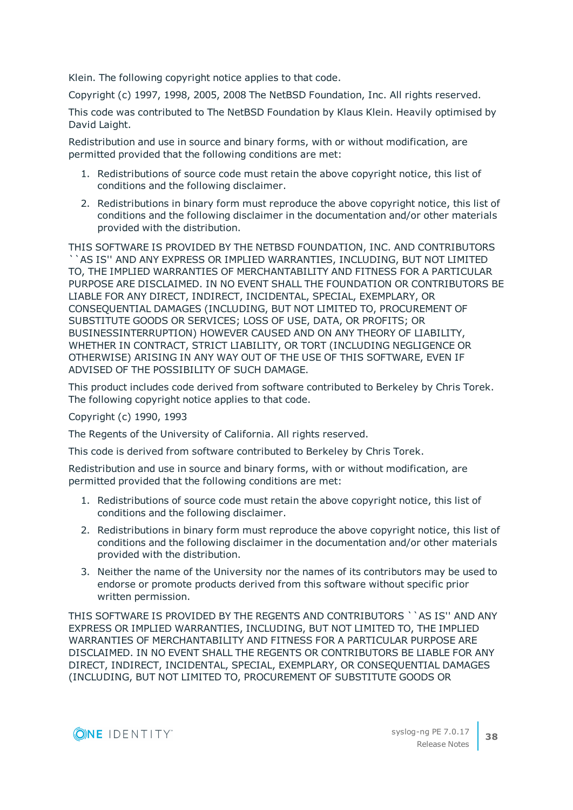Klein. The following copyright notice applies to that code.

Copyright (c) 1997, 1998, 2005, 2008 The NetBSD Foundation, Inc. All rights reserved.

This code was contributed to The NetBSD Foundation by Klaus Klein. Heavily optimised by David Laight.

Redistribution and use in source and binary forms, with or without modification, are permitted provided that the following conditions are met:

- 1. Redistributions of source code must retain the above copyright notice, this list of conditions and the following disclaimer.
- 2. Redistributions in binary form must reproduce the above copyright notice, this list of conditions and the following disclaimer in the documentation and/or other materials provided with the distribution.

THIS SOFTWARE IS PROVIDED BY THE NETBSD FOUNDATION, INC. AND CONTRIBUTORS ``AS IS'' AND ANY EXPRESS OR IMPLIED WARRANTIES, INCLUDING, BUT NOT LIMITED TO, THE IMPLIED WARRANTIES OF MERCHANTABILITY AND FITNESS FOR A PARTICULAR PURPOSE ARE DISCLAIMED. IN NO EVENT SHALL THE FOUNDATION OR CONTRIBUTORS BE LIABLE FOR ANY DIRECT, INDIRECT, INCIDENTAL, SPECIAL, EXEMPLARY, OR CONSEQUENTIAL DAMAGES (INCLUDING, BUT NOT LIMITED TO, PROCUREMENT OF SUBSTITUTE GOODS OR SERVICES; LOSS OF USE, DATA, OR PROFITS; OR BUSINESSINTERRUPTION) HOWEVER CAUSED AND ON ANY THEORY OF LIABILITY, WHETHER IN CONTRACT, STRICT LIABILITY, OR TORT (INCLUDING NEGLIGENCE OR OTHERWISE) ARISING IN ANY WAY OUT OF THE USE OF THIS SOFTWARE, EVEN IF ADVISED OF THE POSSIBILITY OF SUCH DAMAGE.

This product includes code derived from software contributed to Berkeley by Chris Torek. The following copyright notice applies to that code.

Copyright (c) 1990, 1993

The Regents of the University of California. All rights reserved.

This code is derived from software contributed to Berkeley by Chris Torek.

Redistribution and use in source and binary forms, with or without modification, are permitted provided that the following conditions are met:

- 1. Redistributions of source code must retain the above copyright notice, this list of conditions and the following disclaimer.
- 2. Redistributions in binary form must reproduce the above copyright notice, this list of conditions and the following disclaimer in the documentation and/or other materials provided with the distribution.
- 3. Neither the name of the University nor the names of its contributors may be used to endorse or promote products derived from this software without specific prior written permission.

THIS SOFTWARE IS PROVIDED BY THE REGENTS AND CONTRIBUTORS ` `AS IS'' AND ANY EXPRESS OR IMPLIED WARRANTIES, INCLUDING, BUT NOT LIMITED TO, THE IMPLIED WARRANTIES OF MERCHANTABILITY AND FITNESS FOR A PARTICULAR PURPOSE ARE DISCLAIMED. IN NO EVENT SHALL THE REGENTS OR CONTRIBUTORS BE LIABLE FOR ANY DIRECT, INDIRECT, INCIDENTAL, SPECIAL, EXEMPLARY, OR CONSEQUENTIAL DAMAGES (INCLUDING, BUT NOT LIMITED TO, PROCUREMENT OF SUBSTITUTE GOODS OR

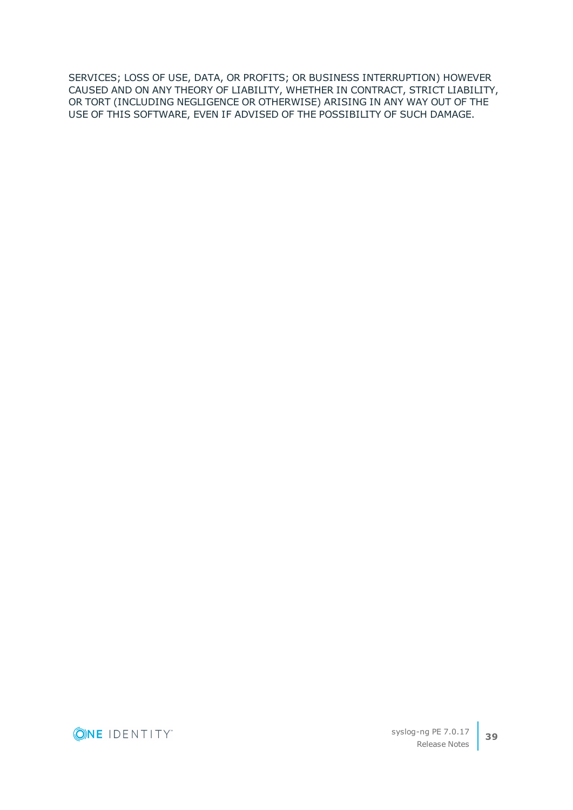SERVICES; LOSS OF USE, DATA, OR PROFITS; OR BUSINESS INTERRUPTION) HOWEVER CAUSED AND ON ANY THEORY OF LIABILITY, WHETHER IN CONTRACT, STRICT LIABILITY, OR TORT (INCLUDING NEGLIGENCE OR OTHERWISE) ARISING IN ANY WAY OUT OF THE USE OF THIS SOFTWARE, EVEN IF ADVISED OF THE POSSIBILITY OF SUCH DAMAGE.